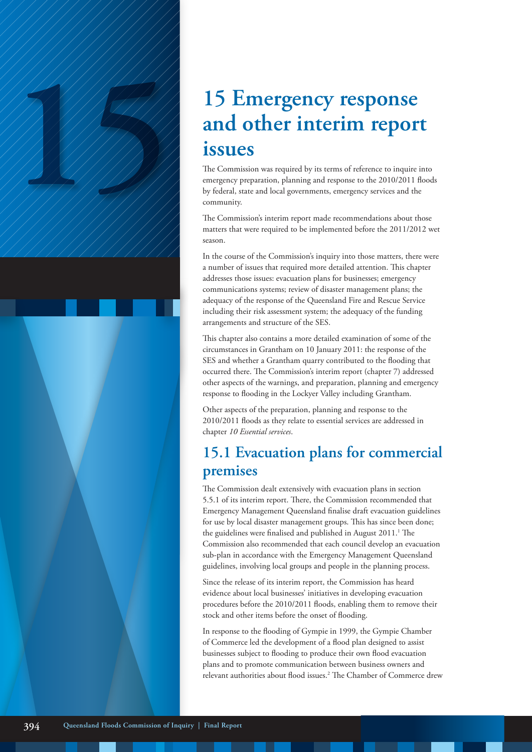# 15 **Emergency response**<br>
and other interim report<br>
issues<br>
The Commission was required by its terms of reference to inquire in<br>
the Commission and Isoach and Isoach and Isoach and Isoach and Isoach and Isoach and Isoach an **and other interim report issues**

The Commission was required by its terms of reference to inquire into emergency preparation, planning and response to the 2010/2011 floods by federal, state and local governments, emergency services and the community.

The Commission's interim report made recommendations about those matters that were required to be implemented before the 2011/2012 wet season.

In the course of the Commission's inquiry into those matters, there were a number of issues that required more detailed attention. This chapter addresses those issues: evacuation plans for businesses; emergency communications systems; review of disaster management plans; the adequacy of the response of the Queensland Fire and Rescue Service including their risk assessment system; the adequacy of the funding arrangements and structure of the SES.

This chapter also contains a more detailed examination of some of the circumstances in Grantham on 10 January 2011: the response of the SES and whether a Grantham quarry contributed to the flooding that occurred there. The Commission's interim report (chapter 7) addressed other aspects of the warnings, and preparation, planning and emergency response to flooding in the Lockyer Valley including Grantham.

Other aspects of the preparation, planning and response to the 2010/2011 floods as they relate to essential services are addressed in chapter *10 Essential services*.

# **15.1 Evacuation plans for commercial premises**

The Commission dealt extensively with evacuation plans in section 5.5.1 of its interim report. There, the Commission recommended that Emergency Management Queensland finalise draft evacuation guidelines for use by local disaster management groups. This has since been done; the guidelines were finalised and published in August 2011.<sup>1</sup> The Commission also recommended that each council develop an evacuation sub-plan in accordance with the Emergency Management Queensland guidelines, involving local groups and people in the planning process.

Since the release of its interim report, the Commission has heard evidence about local businesses' initiatives in developing evacuation procedures before the 2010/2011 floods, enabling them to remove their stock and other items before the onset of flooding.

In response to the flooding of Gympie in 1999, the Gympie Chamber of Commerce led the development of a flood plan designed to assist businesses subject to flooding to produce their own flood evacuation plans and to promote communication between business owners and relevant authorities about flood issues.2 The Chamber of Commerce drew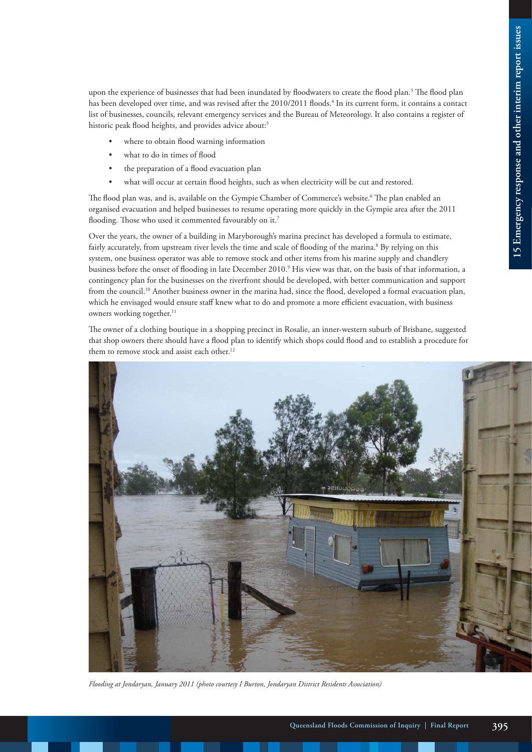upon the experience of businesses that had been inundated by floodwaters to create the flood plan.<sup>3</sup> The flood plan has been developed over time, and was revised after the 2010/2011 floods.<sup>4</sup> In its current form, it contains a contact list of businesses, councils, relevant emergency services and the Bureau of Meteorology. It also contains a register of historic peak flood heights, and provides advice about:<sup>5</sup>

- where to obtain flood warning information
- what to do in times of flood
- the preparation of a flood evacuation plan
- what will occur at certain flood heights, such as when electricity will be cut and restored.

The flood plan was, and is, available on the Gympie Chamber of Commerce's website.<sup>6</sup> The plan enabled an organised evacuation and helped businesses to resume operating more quickly in the Gympie area after the 2011 flooding. Those who used it commented favourably on it.<sup>7</sup>

Over the years, the owner of a building in Maryborough's marina precinct has developed a formula to estimate, fairly accurately, from upstream river levels the time and scale of flooding of the marina.<sup>8</sup> By relying on this system, one business operator was able to remove stock and other items from his marine supply and chandlery business before the onset of flooding in late December 2010.9 His view was that, on the basis of that information, a contingency plan for the businesses on the riverfront should be developed, with better communication and support from the council.<sup>10</sup> Another business owner in the marina had, since the flood, developed a formal evacuation plan, which he envisaged would ensure staff knew what to do and promote a more efficient evacuation, with business owners working together.<sup>11</sup>

The owner of a clothing boutique in a shopping precinct in Rosalie, an inner-western suburb of Brisbane, suggested that shop owners there should have a flood plan to identify which shops could flood and to establish a procedure for them to remove stock and assist each other.<sup>12</sup>



*Flooding at Jondaryan, January 2011 (photo courtesy I Burton, Jondaryan District Residents Association)*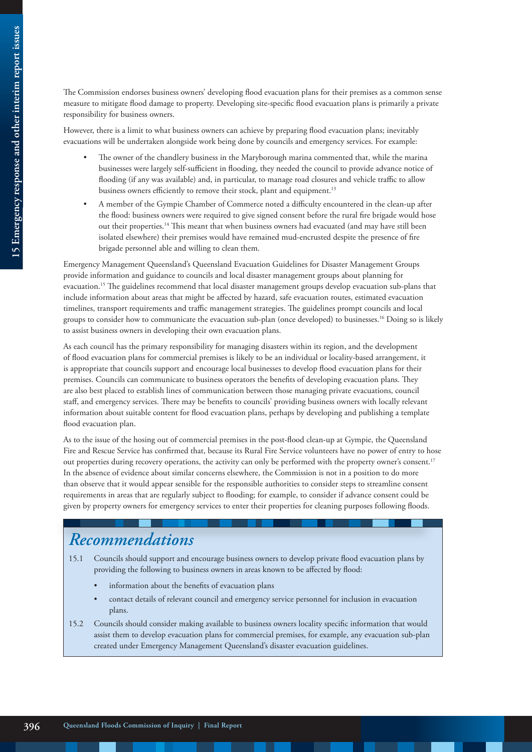The Commission endorses business owners' developing flood evacuation plans for their premises as a common sense measure to mitigate flood damage to property. Developing site-specific flood evacuation plans is primarily a private responsibility for business owners.

However, there is a limit to what business owners can achieve by preparing flood evacuation plans; inevitably evacuations will be undertaken alongside work being done by councils and emergency services. For example:

- The owner of the chandlery business in the Maryborough marina commented that, while the marina businesses were largely self-sufficient in flooding, they needed the council to provide advance notice of flooding (if any was available) and, in particular, to manage road closures and vehicle traffic to allow business owners efficiently to remove their stock, plant and equipment.<sup>13</sup>
- A member of the Gympie Chamber of Commerce noted a difficulty encountered in the clean-up after the flood: business owners were required to give signed consent before the rural fire brigade would hose out their properties.14 This meant that when business owners had evacuated (and may have still been isolated elsewhere) their premises would have remained mud-encrusted despite the presence of fire brigade personnel able and willing to clean them.

Emergency Management Queensland's Queensland Evacuation Guidelines for Disaster Management Groups provide information and guidance to councils and local disaster management groups about planning for evacuation.15 The guidelines recommend that local disaster management groups develop evacuation sub-plans that include information about areas that might be affected by hazard, safe evacuation routes, estimated evacuation timelines, transport requirements and traffic management strategies. The guidelines prompt councils and local groups to consider how to communicate the evacuation sub-plan (once developed) to businesses.16 Doing so is likely to assist business owners in developing their own evacuation plans.

As each council has the primary responsibility for managing disasters within its region, and the development of flood evacuation plans for commercial premises is likely to be an individual or locality-based arrangement, it is appropriate that councils support and encourage local businesses to develop flood evacuation plans for their premises. Councils can communicate to business operators the benefits of developing evacuation plans. They are also best placed to establish lines of communication between those managing private evacuations, council staff, and emergency services. There may be benefits to councils' providing business owners with locally relevant information about suitable content for flood evacuation plans, perhaps by developing and publishing a template flood evacuation plan.

As to the issue of the hosing out of commercial premises in the post-flood clean-up at Gympie, the Queensland Fire and Rescue Service has confirmed that, because its Rural Fire Service volunteers have no power of entry to hose out properties during recovery operations, the activity can only be performed with the property owner's consent.<sup>17</sup> In the absence of evidence about similar concerns elsewhere, the Commission is not in a position to do more than observe that it would appear sensible for the responsible authorities to consider steps to streamline consent requirements in areas that are regularly subject to flooding; for example, to consider if advance consent could be given by property owners for emergency services to enter their properties for cleaning purposes following floods.

# *Recommendations*

- 15.1 Councils should support and encourage business owners to develop private flood evacuation plans by providing the following to business owners in areas known to be affected by flood:
	- information about the benefits of evacuation plans
	- contact details of relevant council and emergency service personnel for inclusion in evacuation plans.
- 15.2 Councils should consider making available to business owners locality specific information that would assist them to develop evacuation plans for commercial premises, for example, any evacuation sub-plan created under Emergency Management Queensland's disaster evacuation guidelines.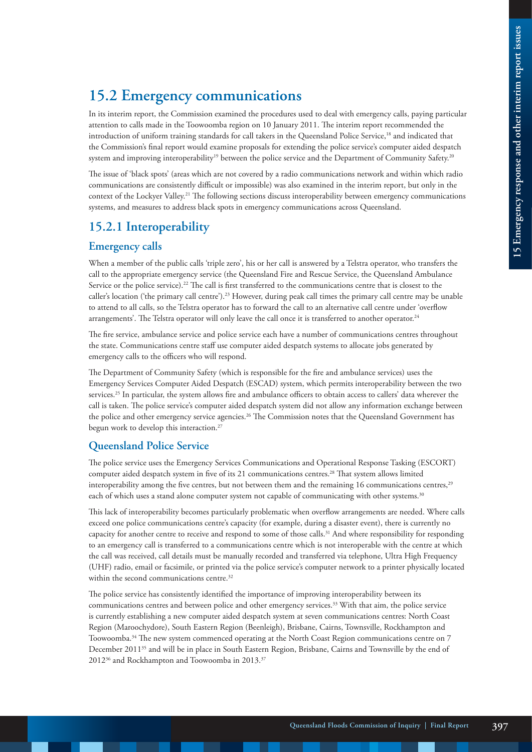# **15.2 Emergency communications**

In its interim report, the Commission examined the procedures used to deal with emergency calls, paying particular attention to calls made in the Toowoomba region on 10 January 2011. The interim report recommended the introduction of uniform training standards for call takers in the Queensland Police Service,18 and indicated that the Commission's final report would examine proposals for extending the police service's computer aided despatch system and improving interoperability<sup>19</sup> between the police service and the Department of Community Safety.<sup>20</sup>

The issue of 'black spots' (areas which are not covered by a radio communications network and within which radio communications are consistently difficult or impossible) was also examined in the interim report, but only in the context of the Lockyer Valley.<sup>21</sup> The following sections discuss interoperability between emergency communications systems, and measures to address black spots in emergency communications across Queensland.

## **15.2.1 Interoperability**

#### **Emergency calls**

When a member of the public calls 'triple zero', his or her call is answered by a Telstra operator, who transfers the call to the appropriate emergency service (the Queensland Fire and Rescue Service, the Queensland Ambulance Service or the police service).<sup>22</sup> The call is first transferred to the communications centre that is closest to the caller's location ('the primary call centre').23 However, during peak call times the primary call centre may be unable to attend to all calls, so the Telstra operator has to forward the call to an alternative call centre under 'overflow arrangements'. The Telstra operator will only leave the call once it is transferred to another operator.<sup>24</sup>

The fire service, ambulance service and police service each have a number of communications centres throughout the state. Communications centre staff use computer aided despatch systems to allocate jobs generated by emergency calls to the officers who will respond.

The Department of Community Safety (which is responsible for the fire and ambulance services) uses the Emergency Services Computer Aided Despatch (ESCAD) system, which permits interoperability between the two services.25 In particular, the system allows fire and ambulance officers to obtain access to callers' data wherever the call is taken. The police service's computer aided despatch system did not allow any information exchange between the police and other emergency service agencies.<sup>26</sup> The Commission notes that the Queensland Government has begun work to develop this interaction.<sup>27</sup>

#### **Queensland Police Service**

The police service uses the Emergency Services Communications and Operational Response Tasking (ESCORT) computer aided despatch system in five of its 21 communications centres.<sup>28</sup> That system allows limited interoperability among the five centres, but not between them and the remaining 16 communications centres,<sup>29</sup> each of which uses a stand alone computer system not capable of communicating with other systems.<sup>30</sup>

This lack of interoperability becomes particularly problematic when overflow arrangements are needed. Where calls exceed one police communications centre's capacity (for example, during a disaster event), there is currently no capacity for another centre to receive and respond to some of those calls.31 And where responsibility for responding to an emergency call is transferred to a communications centre which is not interoperable with the centre at which the call was received, call details must be manually recorded and transferred via telephone, Ultra High Frequency (UHF) radio, email or facsimile, or printed via the police service's computer network to a printer physically located within the second communications centre.<sup>32</sup>

The police service has consistently identified the importance of improving interoperability between its communications centres and between police and other emergency services.33 With that aim, the police service is currently establishing a new computer aided despatch system at seven communications centres: North Coast Region (Maroochydore), South Eastern Region (Beenleigh), Brisbane, Cairns, Townsville, Rockhampton and Toowoomba.34 The new system commenced operating at the North Coast Region communications centre on 7 December 201135 and will be in place in South Eastern Region, Brisbane, Cairns and Townsville by the end of 201236 and Rockhampton and Toowoomba in 2013.37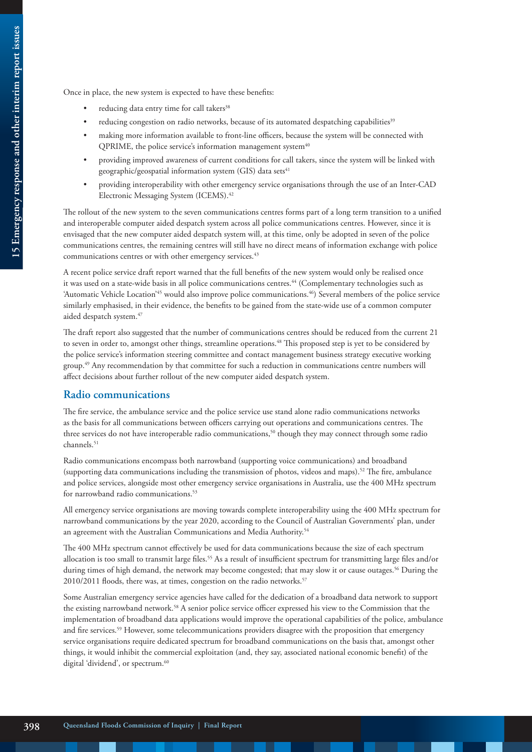Once in place, the new system is expected to have these benefits:

- reducing data entry time for call takers<sup>38</sup>
- reducing congestion on radio networks, because of its automated despatching capabilities<sup>39</sup>
- making more information available to front-line officers, because the system will be connected with QPRIME, the police service's information management system<sup>40</sup>
- providing improved awareness of current conditions for call takers, since the system will be linked with geographic/geospatial information system (GIS) data sets<sup>41</sup>
- providing interoperability with other emergency service organisations through the use of an Inter-CAD Electronic Messaging System (ICEMS).<sup>42</sup>

The rollout of the new system to the seven communications centres forms part of a long term transition to a unified and interoperable computer aided despatch system across all police communications centres. However, since it is envisaged that the new computer aided despatch system will, at this time, only be adopted in seven of the police communications centres, the remaining centres will still have no direct means of information exchange with police communications centres or with other emergency services.<sup>43</sup>

A recent police service draft report warned that the full benefits of the new system would only be realised once it was used on a state-wide basis in all police communications centres.<sup>44</sup> (Complementary technologies such as 'Automatic Vehicle Location'<sup>45</sup> would also improve police communications.<sup>46</sup>) Several members of the police service similarly emphasised, in their evidence, the benefits to be gained from the state-wide use of a common computer aided despatch system.<sup>47</sup>

The draft report also suggested that the number of communications centres should be reduced from the current 21 to seven in order to, amongst other things, streamline operations.<sup>48</sup> This proposed step is yet to be considered by the police service's information steering committee and contact management business strategy executive working group.49 Any recommendation by that committee for such a reduction in communications centre numbers will affect decisions about further rollout of the new computer aided despatch system.

#### **Radio communications**

The fire service, the ambulance service and the police service use stand alone radio communications networks as the basis for all communications between officers carrying out operations and communications centres. The three services do not have interoperable radio communications,<sup>50</sup> though they may connect through some radio channels.<sup>51</sup>

Radio communications encompass both narrowband (supporting voice communications) and broadband (supporting data communications including the transmission of photos, videos and maps).52 The fire, ambulance and police services, alongside most other emergency service organisations in Australia, use the 400 MHz spectrum for narrowband radio communications.<sup>53</sup>

All emergency service organisations are moving towards complete interoperability using the 400 MHz spectrum for narrowband communications by the year 2020, according to the Council of Australian Governments' plan, under an agreement with the Australian Communications and Media Authority.<sup>54</sup>

The 400 MHz spectrum cannot effectively be used for data communications because the size of each spectrum allocation is too small to transmit large files.<sup>55</sup> As a result of insufficient spectrum for transmitting large files and/or during times of high demand, the network may become congested; that may slow it or cause outages.<sup>56</sup> During the 2010/2011 floods, there was, at times, congestion on the radio networks.<sup>57</sup>

Some Australian emergency service agencies have called for the dedication of a broadband data network to support the existing narrowband network.58 A senior police service officer expressed his view to the Commission that the implementation of broadband data applications would improve the operational capabilities of the police, ambulance and fire services.<sup>59</sup> However, some telecommunications providers disagree with the proposition that emergency service organisations require dedicated spectrum for broadband communications on the basis that, amongst other things, it would inhibit the commercial exploitation (and, they say, associated national economic benefit) of the digital 'dividend', or spectrum.<sup>60</sup>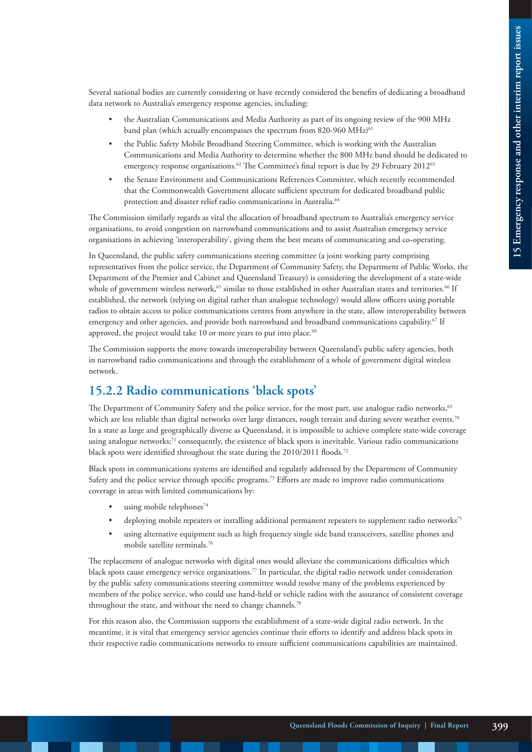Several national bodies are currently considering or have recently considered the benefits of dedicating a broadband data network to Australia's emergency response agencies, including:

- the Australian Communications and Media Authority as part of its ongoing review of the 900 MHz band plan (which actually encompasses the spectrum from 820-960 MHz)<sup>61</sup>
- the Public Safety Mobile Broadband Steering Committee, which is working with the Australian Communications and Media Authority to determine whether the 800 MHz band should be dedicated to emergency response organisations.<sup>62</sup> The Committee's final report is due by 29 February 2012<sup>63</sup>
- the Senate Environment and Communications References Committee, which recently recommended that the Commonwealth Government allocate sufficient spectrum for dedicated broadband public protection and disaster relief radio communications in Australia.<sup>64</sup>

The Commission similarly regards as vital the allocation of broadband spectrum to Australia's emergency service organisations, to avoid congestion on narrowband communications and to assist Australian emergency service organisations in achieving 'interoperability', giving them the best means of communicating and co-operating.

In Queensland, the public safety communications steering committee (a joint working party comprising representatives from the police service, the Department of Community Safety, the Department of Public Works, the Department of the Premier and Cabinet and Queensland Treasury) is considering the development of a state-wide whole of government wireless network,<sup>65</sup> similar to those established in other Australian states and territories.<sup>66</sup> If established, the network (relying on digital rather than analogue technology) would allow officers using portable radios to obtain access to police communications centres from anywhere in the state, allow interoperability between emergency and other agencies, and provide both narrowband and broadband communications capability.<sup>67</sup> If approved, the project would take 10 or more years to put into place.<sup>68</sup>

The Commission supports the move towards interoperability between Queensland's public safety agencies, both in narrowband radio communications and through the establishment of a whole of government digital wireless network.

## **15.2.2 Radio communications 'black spots'**

The Department of Community Safety and the police service, for the most part, use analogue radio networks,<sup>69</sup> which are less reliable than digital networks over large distances, rough terrain and during severe weather events.<sup>70</sup> In a state as large and geographically diverse as Queensland, it is impossible to achieve complete state-wide coverage using analogue networks;<sup>71</sup> consequently, the existence of black spots is inevitable. Various radio communications black spots were identified throughout the state during the 2010/2011 floods.<sup>72</sup>

Black spots in communications systems are identified and regularly addressed by the Department of Community Safety and the police service through specific programs.73 Efforts are made to improve radio communications coverage in areas with limited communications by:

- using mobile telephones<sup>74</sup>
- deploying mobile repeaters or installing additional permanent repeaters to supplement radio networks<sup>75</sup>
- using alternative equipment such as high frequency single side band transceivers, satellite phones and mobile satellite terminals.76

The replacement of analogue networks with digital ones would alleviate the communications difficulties which black spots cause emergency service organisations.<sup>77</sup> In particular, the digital radio network under consideration by the public safety communications steering committee would resolve many of the problems experienced by members of the police service, who could use hand-held or vehicle radios with the assurance of consistent coverage throughout the state, and without the need to change channels.<sup>78</sup>

For this reason also, the Commission supports the establishment of a state-wide digital radio network. In the meantime, it is vital that emergency service agencies continue their efforts to identify and address black spots in their respective radio communications networks to ensure sufficient communications capabilities are maintained.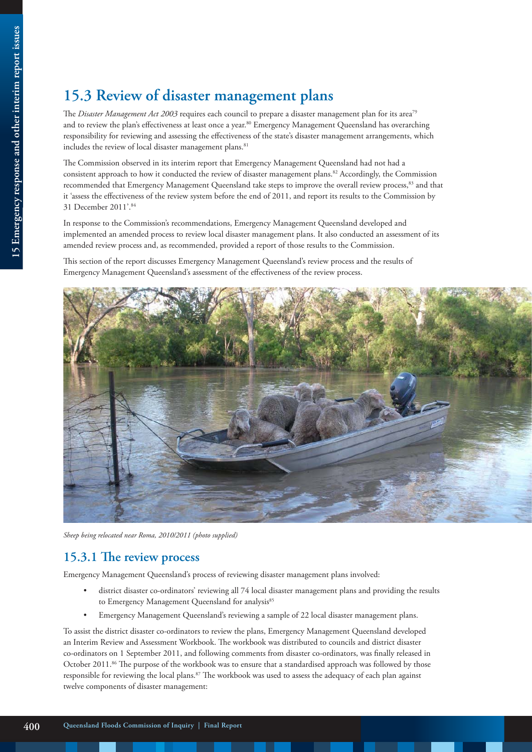# **15.3 Review of disaster management plans**

The *Disaster Management Act 2003* requires each council to prepare a disaster management plan for its area<sup>79</sup> and to review the plan's effectiveness at least once a year.<sup>80</sup> Emergency Management Queensland has overarching responsibility for reviewing and assessing the effectiveness of the state's disaster management arrangements, which includes the review of local disaster management plans.<sup>81</sup>

The Commission observed in its interim report that Emergency Management Queensland had not had a consistent approach to how it conducted the review of disaster management plans.82 Accordingly, the Commission recommended that Emergency Management Queensland take steps to improve the overall review process,<sup>83</sup> and that it 'assess the effectiveness of the review system before the end of 2011, and report its results to the Commission by 31 December 2011'.84

In response to the Commission's recommendations, Emergency Management Queensland developed and implemented an amended process to review local disaster management plans. It also conducted an assessment of its amended review process and, as recommended, provided a report of those results to the Commission.

This section of the report discusses Emergency Management Queensland's review process and the results of Emergency Management Queensland's assessment of the effectiveness of the review process.



*Sheep being relocated near Roma, 2010/2011 (photo supplied)*

#### **15.3.1 The review process**

Emergency Management Queensland's process of reviewing disaster management plans involved:

- district disaster co-ordinators' reviewing all 74 local disaster management plans and providing the results to Emergency Management Queensland for analysis<sup>85</sup>
- Emergency Management Queensland's reviewing a sample of 22 local disaster management plans.

To assist the district disaster co-ordinators to review the plans, Emergency Management Queensland developed an Interim Review and Assessment Workbook. The workbook was distributed to councils and district disaster co-ordinators on 1 September 2011, and following comments from disaster co-ordinators, was finally released in October 2011.<sup>86</sup> The purpose of the workbook was to ensure that a standardised approach was followed by those responsible for reviewing the local plans.87 The workbook was used to assess the adequacy of each plan against twelve components of disaster management: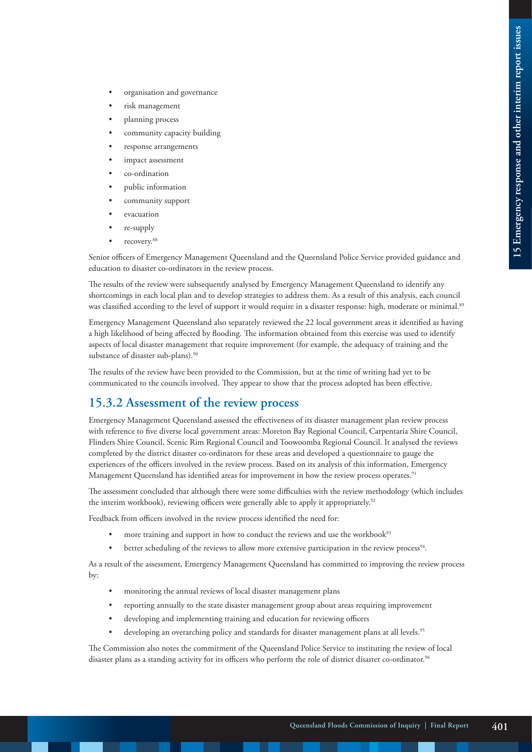- organisation and governance
- risk management
- planning process
- community capacity building
- response arrangements
- impact assessment
- co-ordination
- public information
- community support
- evacuation
- re-supply
- recovery.<sup>88</sup>

Senior officers of Emergency Management Queensland and the Queensland Police Service provided guidance and education to disaster co-ordinators in the review process.

The results of the review were subsequently analysed by Emergency Management Queensland to identify any shortcomings in each local plan and to develop strategies to address them. As a result of this analysis, each council was classified according to the level of support it would require in a disaster response: high, moderate or minimal.<sup>89</sup>

Emergency Management Queensland also separately reviewed the 22 local government areas it identified as having a high likelihood of being affected by flooding. The information obtained from this exercise was used to identify aspects of local disaster management that require improvement (for example, the adequacy of training and the substance of disaster sub-plans).<sup>90</sup>

The results of the review have been provided to the Commission, but at the time of writing had yet to be communicated to the councils involved. They appear to show that the process adopted has been effective.

## **15.3.2 Assessment of the review process**

Emergency Management Queensland assessed the effectiveness of its disaster management plan review process with reference to five diverse local government areas: Moreton Bay Regional Council, Carpentaria Shire Council, Flinders Shire Council, Scenic Rim Regional Council and Toowoomba Regional Council. It analysed the reviews completed by the district disaster co-ordinators for these areas and developed a questionnaire to gauge the experiences of the officers involved in the review process. Based on its analysis of this information, Emergency Management Queensland has identified areas for improvement in how the review process operates.<sup>91</sup>

The assessment concluded that although there were some difficulties with the review methodology (which includes the interim workbook), reviewing officers were generally able to apply it appropriately.<sup>92</sup>

Feedback from officers involved in the review process identified the need for:

- more training and support in how to conduct the reviews and use the workbook $93$
- better scheduling of the reviews to allow more extensive participation in the review process<sup>94</sup>.

As a result of the assessment, Emergency Management Queensland has committed to improving the review process by:

- monitoring the annual reviews of local disaster management plans
- reporting annually to the state disaster management group about areas requiring improvement
- developing and implementing training and education for reviewing officers
- developing an overarching policy and standards for disaster management plans at all levels.<sup>95</sup>

The Commission also notes the commitment of the Queensland Police Service to instituting the review of local disaster plans as a standing activity for its officers who perform the role of district disaster co-ordinator.<sup>96</sup>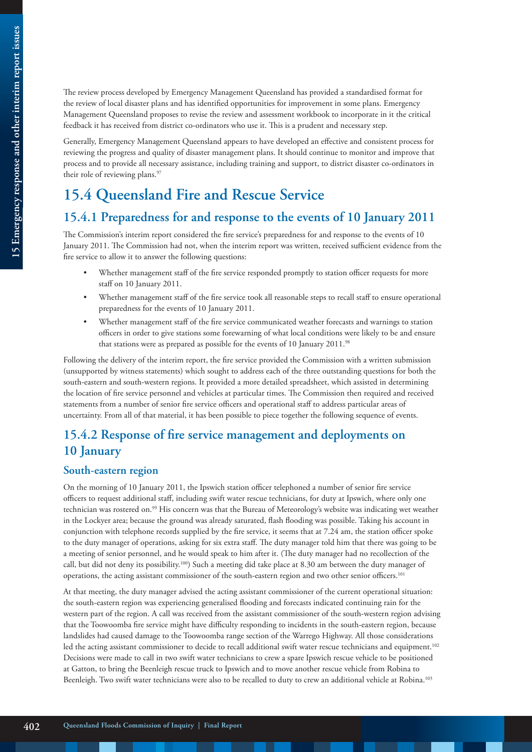The review process developed by Emergency Management Queensland has provided a standardised format for the review of local disaster plans and has identified opportunities for improvement in some plans. Emergency Management Queensland proposes to revise the review and assessment workbook to incorporate in it the critical feedback it has received from district co-ordinators who use it. This is a prudent and necessary step.

Generally, Emergency Management Queensland appears to have developed an effective and consistent process for reviewing the progress and quality of disaster management plans. It should continue to monitor and improve that process and to provide all necessary assistance, including training and support, to district disaster co-ordinators in their role of reviewing plans.<sup>97</sup>

# **15.4 Queensland Fire and Rescue Service**

## **15.4.1 Preparedness for and response to the events of 10 January 2011**

The Commission's interim report considered the fire service's preparedness for and response to the events of 10 January 2011. The Commission had not, when the interim report was written, received sufficient evidence from the fire service to allow it to answer the following questions:

- Whether management staff of the fire service responded promptly to station officer requests for more staff on 10 January 2011.
- Whether management staff of the fire service took all reasonable steps to recall staff to ensure operational preparedness for the events of 10 January 2011.
- Whether management staff of the fire service communicated weather forecasts and warnings to station officers in order to give stations some forewarning of what local conditions were likely to be and ensure that stations were as prepared as possible for the events of 10 January 2011.<sup>98</sup>

Following the delivery of the interim report, the fire service provided the Commission with a written submission (unsupported by witness statements) which sought to address each of the three outstanding questions for both the south-eastern and south-western regions. It provided a more detailed spreadsheet, which assisted in determining the location of fire service personnel and vehicles at particular times. The Commission then required and received statements from a number of senior fire service officers and operational staff to address particular areas of uncertainty. From all of that material, it has been possible to piece together the following sequence of events.

## **15.4.2 Response of fire service management and deployments on 10 January**

#### **South-eastern region**

On the morning of 10 January 2011, the Ipswich station officer telephoned a number of senior fire service officers to request additional staff, including swift water rescue technicians, for duty at Ipswich, where only one technician was rostered on.<sup>99</sup> His concern was that the Bureau of Meteorology's website was indicating wet weather in the Lockyer area; because the ground was already saturated, flash flooding was possible. Taking his account in conjunction with telephone records supplied by the fire service, it seems that at 7.24 am, the station officer spoke to the duty manager of operations, asking for six extra staff. The duty manager told him that there was going to be a meeting of senior personnel, and he would speak to him after it. (The duty manager had no recollection of the call, but did not deny its possibility.<sup>100</sup>) Such a meeting did take place at 8.30 am between the duty manager of operations, the acting assistant commissioner of the south-eastern region and two other senior officers.101

At that meeting, the duty manager advised the acting assistant commissioner of the current operational situation: the south-eastern region was experiencing generalised flooding and forecasts indicated continuing rain for the western part of the region. A call was received from the assistant commissioner of the south-western region advising that the Toowoomba fire service might have difficulty responding to incidents in the south-eastern region, because landslides had caused damage to the Toowoomba range section of the Warrego Highway. All those considerations led the acting assistant commissioner to decide to recall additional swift water rescue technicians and equipment.<sup>102</sup> Decisions were made to call in two swift water technicians to crew a spare Ipswich rescue vehicle to be positioned at Gatton, to bring the Beenleigh rescue truck to Ipswich and to move another rescue vehicle from Robina to Beenleigh. Two swift water technicians were also to be recalled to duty to crew an additional vehicle at Robina.<sup>103</sup>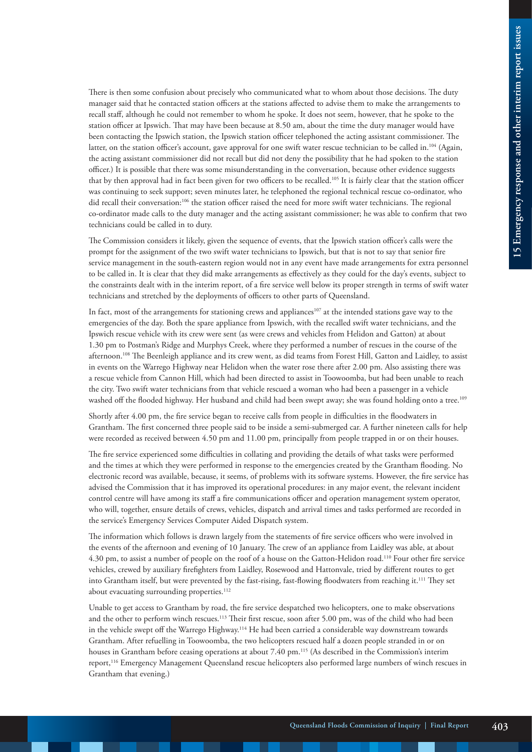There is then some confusion about precisely who communicated what to whom about those decisions. The duty manager said that he contacted station officers at the stations affected to advise them to make the arrangements to recall staff, although he could not remember to whom he spoke. It does not seem, however, that he spoke to the station officer at Ipswich. That may have been because at 8.50 am, about the time the duty manager would have been contacting the Ipswich station, the Ipswich station officer telephoned the acting assistant commissioner. The latter, on the station officer's account, gave approval for one swift water rescue technician to be called in.<sup>104</sup> (Again, the acting assistant commissioner did not recall but did not deny the possibility that he had spoken to the station officer.) It is possible that there was some misunderstanding in the conversation, because other evidence suggests that by then approval had in fact been given for two officers to be recalled.<sup>105</sup> It is fairly clear that the station officer was continuing to seek support; seven minutes later, he telephoned the regional technical rescue co-ordinator, who did recall their conversation:<sup>106</sup> the station officer raised the need for more swift water technicians. The regional co-ordinator made calls to the duty manager and the acting assistant commissioner; he was able to confirm that two technicians could be called in to duty.

The Commission considers it likely, given the sequence of events, that the Ipswich station officer's calls were the prompt for the assignment of the two swift water technicians to Ipswich, but that is not to say that senior fire service management in the south-eastern region would not in any event have made arrangements for extra personnel to be called in. It is clear that they did make arrangements as effectively as they could for the day's events, subject to the constraints dealt with in the interim report, of a fire service well below its proper strength in terms of swift water technicians and stretched by the deployments of officers to other parts of Queensland.

In fact, most of the arrangements for stationing crews and appliances<sup>107</sup> at the intended stations gave way to the emergencies of the day. Both the spare appliance from Ipswich, with the recalled swift water technicians, and the Ipswich rescue vehicle with its crew were sent (as were crews and vehicles from Helidon and Gatton) at about 1.30 pm to Postman's Ridge and Murphys Creek, where they performed a number of rescues in the course of the afternoon.108 The Beenleigh appliance and its crew went, as did teams from Forest Hill, Gatton and Laidley, to assist in events on the Warrego Highway near Helidon when the water rose there after 2.00 pm. Also assisting there was a rescue vehicle from Cannon Hill, which had been directed to assist in Toowoomba, but had been unable to reach the city. Two swift water technicians from that vehicle rescued a woman who had been a passenger in a vehicle washed off the flooded highway. Her husband and child had been swept away; she was found holding onto a tree.<sup>109</sup>

Shortly after 4.00 pm, the fire service began to receive calls from people in difficulties in the floodwaters in Grantham. The first concerned three people said to be inside a semi-submerged car. A further nineteen calls for help were recorded as received between 4.50 pm and 11.00 pm, principally from people trapped in or on their houses.

The fire service experienced some difficulties in collating and providing the details of what tasks were performed and the times at which they were performed in response to the emergencies created by the Grantham flooding. No electronic record was available, because, it seems, of problems with its software systems. However, the fire service has advised the Commission that it has improved its operational procedures: in any major event, the relevant incident control centre will have among its staff a fire communications officer and operation management system operator, who will, together, ensure details of crews, vehicles, dispatch and arrival times and tasks performed are recorded in the service's Emergency Services Computer Aided Dispatch system.

The information which follows is drawn largely from the statements of fire service officers who were involved in the events of the afternoon and evening of 10 January. The crew of an appliance from Laidley was able, at about 4.30 pm, to assist a number of people on the roof of a house on the Gatton-Helidon road.110 Four other fire service vehicles, crewed by auxiliary firefighters from Laidley, Rosewood and Hattonvale, tried by different routes to get into Grantham itself, but were prevented by the fast-rising, fast-flowing floodwaters from reaching it.111 They set about evacuating surrounding properties.<sup>112</sup>

Unable to get access to Grantham by road, the fire service despatched two helicopters, one to make observations and the other to perform winch rescues.<sup>113</sup> Their first rescue, soon after 5.00 pm, was of the child who had been in the vehicle swept off the Warrego Highway.<sup>114</sup> He had been carried a considerable way downstream towards Grantham. After refuelling in Toowoomba, the two helicopters rescued half a dozen people stranded in or on houses in Grantham before ceasing operations at about 7.40 pm.115 (As described in the Commission's interim report,116 Emergency Management Queensland rescue helicopters also performed large numbers of winch rescues in Grantham that evening.)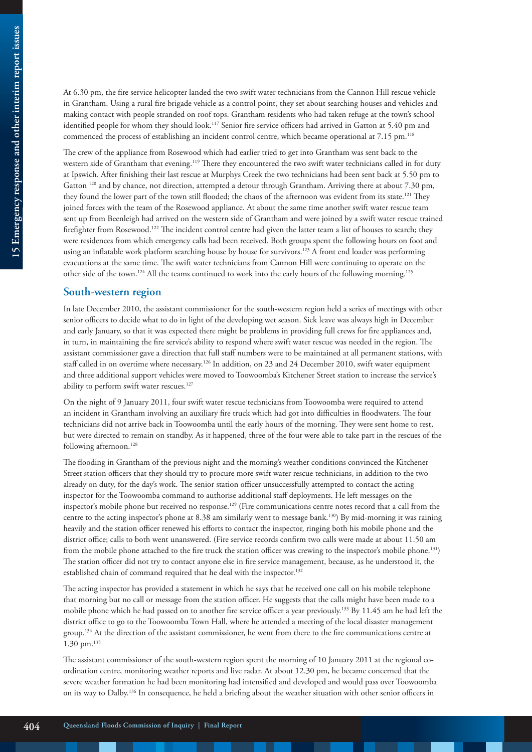At 6.30 pm, the fire service helicopter landed the two swift water technicians from the Cannon Hill rescue vehicle in Grantham. Using a rural fire brigade vehicle as a control point, they set about searching houses and vehicles and making contact with people stranded on roof tops. Grantham residents who had taken refuge at the town's school identified people for whom they should look.<sup>117</sup> Senior fire service officers had arrived in Gatton at 5.40 pm and commenced the process of establishing an incident control centre, which became operational at 7.15 pm.<sup>118</sup>

The crew of the appliance from Rosewood which had earlier tried to get into Grantham was sent back to the western side of Grantham that evening.<sup>119</sup> There they encountered the two swift water technicians called in for duty at Ipswich. After finishing their last rescue at Murphys Creek the two technicians had been sent back at 5.50 pm to Gatton 120 and by chance, not direction, attempted a detour through Grantham. Arriving there at about 7.30 pm, they found the lower part of the town still flooded; the chaos of the afternoon was evident from its state.<sup>121</sup> They joined forces with the team of the Rosewood appliance. At about the same time another swift water rescue team sent up from Beenleigh had arrived on the western side of Grantham and were joined by a swift water rescue trained firefighter from Rosewood.122 The incident control centre had given the latter team a list of houses to search; they were residences from which emergency calls had been received. Both groups spent the following hours on foot and using an inflatable work platform searching house by house for survivors.123 A front end loader was performing evacuations at the same time. The swift water technicians from Cannon Hill were continuing to operate on the other side of the town.<sup>124</sup> All the teams continued to work into the early hours of the following morning.<sup>125</sup>

#### **South-western region**

In late December 2010, the assistant commissioner for the south-western region held a series of meetings with other senior officers to decide what to do in light of the developing wet season. Sick leave was always high in December and early January, so that it was expected there might be problems in providing full crews for fire appliances and, in turn, in maintaining the fire service's ability to respond where swift water rescue was needed in the region. The assistant commissioner gave a direction that full staff numbers were to be maintained at all permanent stations, with staff called in on overtime where necessary.126 In addition, on 23 and 24 December 2010, swift water equipment and three additional support vehicles were moved to Toowoomba's Kitchener Street station to increase the service's ability to perform swift water rescues.<sup>127</sup>

On the night of 9 January 2011, four swift water rescue technicians from Toowoomba were required to attend an incident in Grantham involving an auxiliary fire truck which had got into difficulties in floodwaters. The four technicians did not arrive back in Toowoomba until the early hours of the morning. They were sent home to rest, but were directed to remain on standby. As it happened, three of the four were able to take part in the rescues of the following afternoon.<sup>128</sup>

The flooding in Grantham of the previous night and the morning's weather conditions convinced the Kitchener Street station officers that they should try to procure more swift water rescue technicians, in addition to the two already on duty, for the day's work. The senior station officer unsuccessfully attempted to contact the acting inspector for the Toowoomba command to authorise additional staff deployments. He left messages on the inspector's mobile phone but received no response.<sup>129</sup> (Fire communications centre notes record that a call from the centre to the acting inspector's phone at 8.38 am similarly went to message bank.130) By mid-morning it was raining heavily and the station officer renewed his efforts to contact the inspector, ringing both his mobile phone and the district office; calls to both went unanswered. (Fire service records confirm two calls were made at about 11.50 am from the mobile phone attached to the fire truck the station officer was crewing to the inspector's mobile phone.131) The station officer did not try to contact anyone else in fire service management, because, as he understood it, the established chain of command required that he deal with the inspector.<sup>132</sup>

The acting inspector has provided a statement in which he says that he received one call on his mobile telephone that morning but no call or message from the station officer. He suggests that the calls might have been made to a mobile phone which he had passed on to another fire service officer a year previously.133 By 11.45 am he had left the district office to go to the Toowoomba Town Hall, where he attended a meeting of the local disaster management group.134 At the direction of the assistant commissioner, he went from there to the fire communications centre at 1.30 pm.135

The assistant commissioner of the south-western region spent the morning of 10 January 2011 at the regional coordination centre, monitoring weather reports and live radar. At about 12.30 pm, he became concerned that the severe weather formation he had been monitoring had intensified and developed and would pass over Toowoomba on its way to Dalby.136 In consequence, he held a briefing about the weather situation with other senior officers in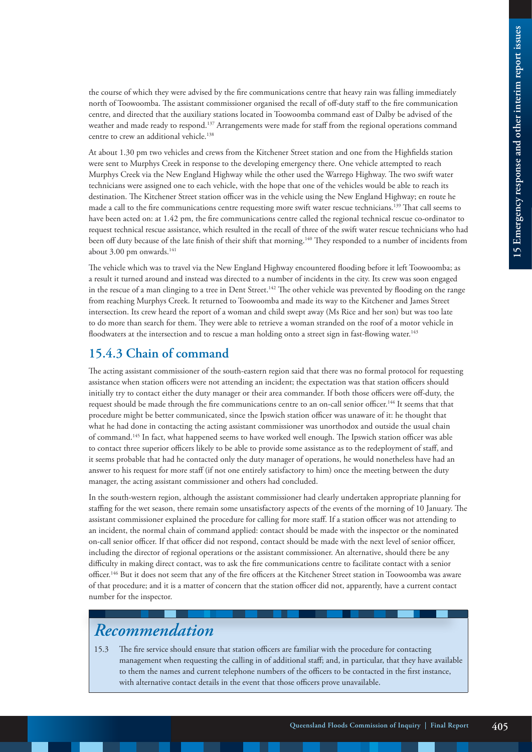the course of which they were advised by the fire communications centre that heavy rain was falling immediately north of Toowoomba. The assistant commissioner organised the recall of off-duty staff to the fire communication centre, and directed that the auxiliary stations located in Toowoomba command east of Dalby be advised of the weather and made ready to respond.137 Arrangements were made for staff from the regional operations command centre to crew an additional vehicle.138

At about 1.30 pm two vehicles and crews from the Kitchener Street station and one from the Highfields station were sent to Murphys Creek in response to the developing emergency there. One vehicle attempted to reach Murphys Creek via the New England Highway while the other used the Warrego Highway. The two swift water technicians were assigned one to each vehicle, with the hope that one of the vehicles would be able to reach its destination. The Kitchener Street station officer was in the vehicle using the New England Highway; en route he made a call to the fire communications centre requesting more swift water rescue technicians.139 That call seems to have been acted on: at 1.42 pm, the fire communications centre called the regional technical rescue co-ordinator to request technical rescue assistance, which resulted in the recall of three of the swift water rescue technicians who had been off duty because of the late finish of their shift that morning.<sup>140</sup> They responded to a number of incidents from about 3.00 pm onwards.<sup>141</sup>

The vehicle which was to travel via the New England Highway encountered flooding before it left Toowoomba; as a result it turned around and instead was directed to a number of incidents in the city. Its crew was soon engaged in the rescue of a man clinging to a tree in Dent Street.<sup>142</sup> The other vehicle was prevented by flooding on the range from reaching Murphys Creek. It returned to Toowoomba and made its way to the Kitchener and James Street intersection. Its crew heard the report of a woman and child swept away (Ms Rice and her son) but was too late to do more than search for them. They were able to retrieve a woman stranded on the roof of a motor vehicle in floodwaters at the intersection and to rescue a man holding onto a street sign in fast-flowing water.<sup>143</sup>

### **15.4.3 Chain of command**

The acting assistant commissioner of the south-eastern region said that there was no formal protocol for requesting assistance when station officers were not attending an incident; the expectation was that station officers should initially try to contact either the duty manager or their area commander. If both those officers were off-duty, the request should be made through the fire communications centre to an on-call senior officer.144 It seems that that procedure might be better communicated, since the Ipswich station officer was unaware of it: he thought that what he had done in contacting the acting assistant commissioner was unorthodox and outside the usual chain of command.145 In fact, what happened seems to have worked well enough. The Ipswich station officer was able to contact three superior officers likely to be able to provide some assistance as to the redeployment of staff, and it seems probable that had he contacted only the duty manager of operations, he would nonetheless have had an answer to his request for more staff (if not one entirely satisfactory to him) once the meeting between the duty manager, the acting assistant commissioner and others had concluded.

In the south-western region, although the assistant commissioner had clearly undertaken appropriate planning for staffing for the wet season, there remain some unsatisfactory aspects of the events of the morning of 10 January. The assistant commissioner explained the procedure for calling for more staff. If a station officer was not attending to an incident, the normal chain of command applied: contact should be made with the inspector or the nominated on-call senior officer. If that officer did not respond, contact should be made with the next level of senior officer, including the director of regional operations or the assistant commissioner. An alternative, should there be any difficulty in making direct contact, was to ask the fire communications centre to facilitate contact with a senior officer.146 But it does not seem that any of the fire officers at the Kitchener Street station in Toowoomba was aware of that procedure; and it is a matter of concern that the station officer did not, apparently, have a current contact number for the inspector.

# *Recommendation*

15.3 The fire service should ensure that station officers are familiar with the procedure for contacting management when requesting the calling in of additional staff; and, in particular, that they have available to them the names and current telephone numbers of the officers to be contacted in the first instance, with alternative contact details in the event that those officers prove unavailable.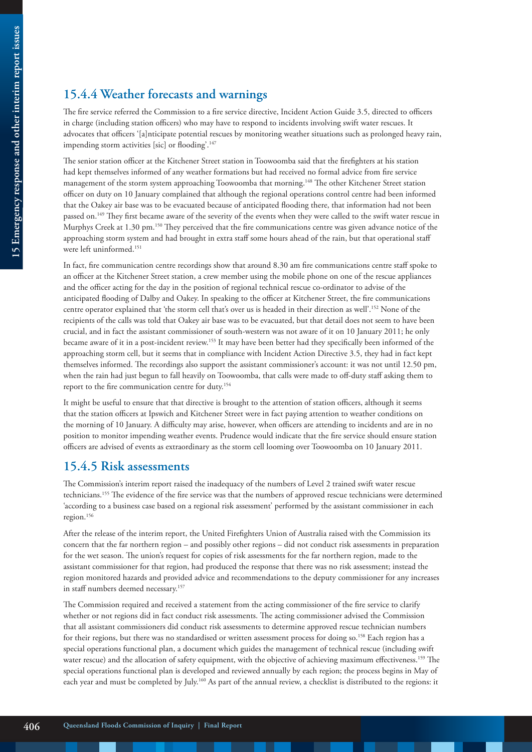## **15.4.4 Weather forecasts and warnings**

The fire service referred the Commission to a fire service directive, Incident Action Guide 3.5, directed to officers in charge (including station officers) who may have to respond to incidents involving swift water rescues. It advocates that officers '[a]nticipate potential rescues by monitoring weather situations such as prolonged heavy rain, impending storm activities [sic] or flooding'.<sup>147</sup>

The senior station officer at the Kitchener Street station in Toowoomba said that the firefighters at his station had kept themselves informed of any weather formations but had received no formal advice from fire service management of the storm system approaching Toowoomba that morning.148 The other Kitchener Street station officer on duty on 10 January complained that although the regional operations control centre had been informed that the Oakey air base was to be evacuated because of anticipated flooding there, that information had not been passed on.149 They first became aware of the severity of the events when they were called to the swift water rescue in Murphys Creek at 1.30 pm.150 They perceived that the fire communications centre was given advance notice of the approaching storm system and had brought in extra staff some hours ahead of the rain, but that operational staff were left uninformed.<sup>151</sup>

In fact, fire communication centre recordings show that around 8.30 am fire communications centre staff spoke to an officer at the Kitchener Street station, a crew member using the mobile phone on one of the rescue appliances and the officer acting for the day in the position of regional technical rescue co-ordinator to advise of the anticipated flooding of Dalby and Oakey. In speaking to the officer at Kitchener Street, the fire communications centre operator explained that 'the storm cell that's over us is headed in their direction as well'.152 None of the recipients of the calls was told that Oakey air base was to be evacuated, but that detail does not seem to have been crucial, and in fact the assistant commissioner of south-western was not aware of it on 10 January 2011; he only became aware of it in a post-incident review.153 It may have been better had they specifically been informed of the approaching storm cell, but it seems that in compliance with Incident Action Directive 3.5, they had in fact kept themselves informed. The recordings also support the assistant commissioner's account: it was not until 12.50 pm, when the rain had just begun to fall heavily on Toowoomba, that calls were made to off-duty staff asking them to report to the fire communication centre for duty.154

It might be useful to ensure that that directive is brought to the attention of station officers, although it seems that the station officers at Ipswich and Kitchener Street were in fact paying attention to weather conditions on the morning of 10 January. A difficulty may arise, however, when officers are attending to incidents and are in no position to monitor impending weather events. Prudence would indicate that the fire service should ensure station officers are advised of events as extraordinary as the storm cell looming over Toowoomba on 10 January 2011.

#### **15.4.5 Risk assessments**

The Commission's interim report raised the inadequacy of the numbers of Level 2 trained swift water rescue technicians.155 The evidence of the fire service was that the numbers of approved rescue technicians were determined 'according to a business case based on a regional risk assessment' performed by the assistant commissioner in each region.156

After the release of the interim report, the United Firefighters Union of Australia raised with the Commission its concern that the far northern region – and possibly other regions – did not conduct risk assessments in preparation for the wet season. The union's request for copies of risk assessments for the far northern region, made to the assistant commissioner for that region, had produced the response that there was no risk assessment; instead the region monitored hazards and provided advice and recommendations to the deputy commissioner for any increases in staff numbers deemed necessary.<sup>157</sup>

The Commission required and received a statement from the acting commissioner of the fire service to clarify whether or not regions did in fact conduct risk assessments. The acting commissioner advised the Commission that all assistant commissioners did conduct risk assessments to determine approved rescue technician numbers for their regions, but there was no standardised or written assessment process for doing so.158 Each region has a special operations functional plan, a document which guides the management of technical rescue (including swift water rescue) and the allocation of safety equipment, with the objective of achieving maximum effectiveness.<sup>159</sup> The special operations functional plan is developed and reviewed annually by each region; the process begins in May of each year and must be completed by July.160 As part of the annual review, a checklist is distributed to the regions: it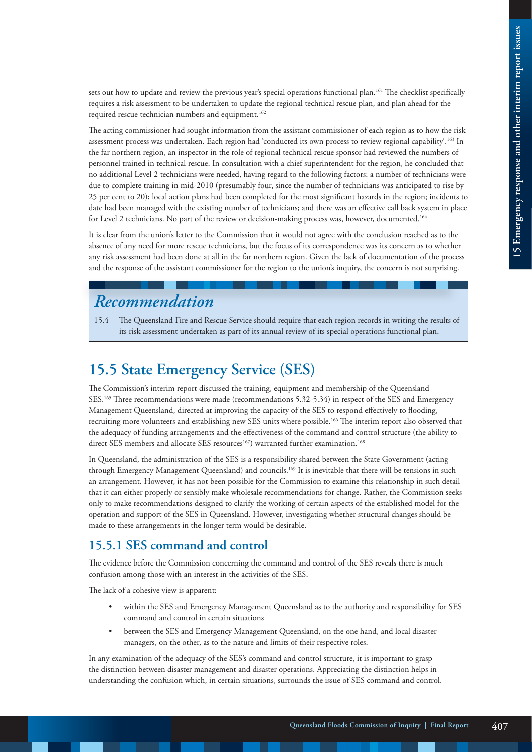sets out how to update and review the previous year's special operations functional plan.<sup>161</sup> The checklist specifically requires a risk assessment to be undertaken to update the regional technical rescue plan, and plan ahead for the required rescue technician numbers and equipment.<sup>162</sup>

The acting commissioner had sought information from the assistant commissioner of each region as to how the risk assessment process was undertaken. Each region had 'conducted its own process to review regional capability'.163 In the far northern region, an inspector in the role of regional technical rescue sponsor had reviewed the numbers of personnel trained in technical rescue. In consultation with a chief superintendent for the region, he concluded that no additional Level 2 technicians were needed, having regard to the following factors: a number of technicians were due to complete training in mid-2010 (presumably four, since the number of technicians was anticipated to rise by 25 per cent to 20); local action plans had been completed for the most significant hazards in the region; incidents to date had been managed with the existing number of technicians; and there was an effective call back system in place for Level 2 technicians. No part of the review or decision-making process was, however, documented.<sup>164</sup>

It is clear from the union's letter to the Commission that it would not agree with the conclusion reached as to the absence of any need for more rescue technicians, but the focus of its correspondence was its concern as to whether any risk assessment had been done at all in the far northern region. Given the lack of documentation of the process and the response of the assistant commissioner for the region to the union's inquiry, the concern is not surprising.

# *Recommendation*

15.4 The Queensland Fire and Rescue Service should require that each region records in writing the results of its risk assessment undertaken as part of its annual review of its special operations functional plan.

# **15.5 State Emergency Service (SES)**

The Commission's interim report discussed the training, equipment and membership of the Queensland SES.165 Three recommendations were made (recommendations 5.32-5.34) in respect of the SES and Emergency Management Queensland, directed at improving the capacity of the SES to respond effectively to flooding, recruiting more volunteers and establishing new SES units where possible.166 The interim report also observed that the adequacy of funding arrangements and the effectiveness of the command and control structure (the ability to direct SES members and allocate SES resources<sup>167</sup>) warranted further examination.<sup>168</sup>

In Queensland, the administration of the SES is a responsibility shared between the State Government (acting through Emergency Management Queensland) and councils.<sup>169</sup> It is inevitable that there will be tensions in such an arrangement. However, it has not been possible for the Commission to examine this relationship in such detail that it can either properly or sensibly make wholesale recommendations for change. Rather, the Commission seeks only to make recommendations designed to clarify the working of certain aspects of the established model for the operation and support of the SES in Queensland. However, investigating whether structural changes should be made to these arrangements in the longer term would be desirable.

## **15.5.1 SES command and control**

The evidence before the Commission concerning the command and control of the SES reveals there is much confusion among those with an interest in the activities of the SES.

The lack of a cohesive view is apparent:

- within the SES and Emergency Management Queensland as to the authority and responsibility for SES command and control in certain situations
- between the SES and Emergency Management Queensland, on the one hand, and local disaster managers, on the other, as to the nature and limits of their respective roles.

In any examination of the adequacy of the SES's command and control structure, it is important to grasp the distinction between disaster management and disaster operations. Appreciating the distinction helps in understanding the confusion which, in certain situations, surrounds the issue of SES command and control.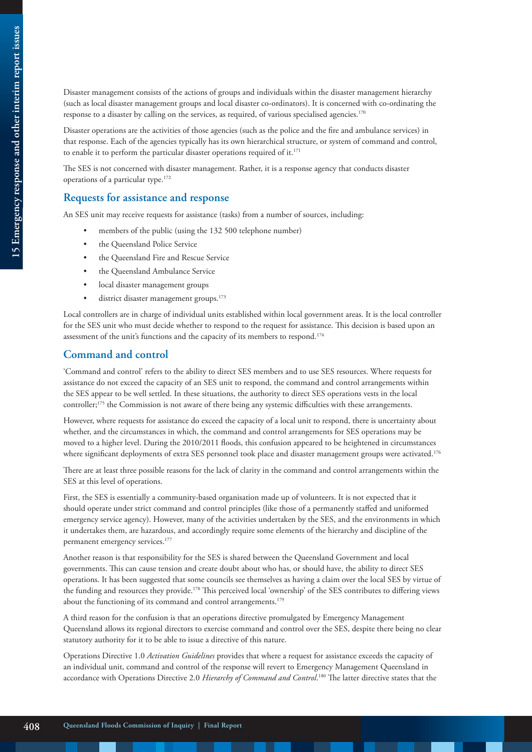Disaster management consists of the actions of groups and individuals within the disaster management hierarchy (such as local disaster management groups and local disaster co-ordinators). It is concerned with co-ordinating the response to a disaster by calling on the services, as required, of various specialised agencies.<sup>170</sup>

Disaster operations are the activities of those agencies (such as the police and the fire and ambulance services) in that response. Each of the agencies typically has its own hierarchical structure, or system of command and control, to enable it to perform the particular disaster operations required of it.<sup>171</sup>

The SES is not concerned with disaster management. Rather, it is a response agency that conducts disaster operations of a particular type.172

#### **Requests for assistance and response**

An SES unit may receive requests for assistance (tasks) from a number of sources, including:

- members of the public (using the 132 500 telephone number)
- the Queensland Police Service
- the Queensland Fire and Rescue Service
- the Queensland Ambulance Service
- local disaster management groups
- district disaster management groups.<sup>173</sup>

Local controllers are in charge of individual units established within local government areas. It is the local controller for the SES unit who must decide whether to respond to the request for assistance. This decision is based upon an assessment of the unit's functions and the capacity of its members to respond.<sup>174</sup>

#### **Command and control**

'Command and control' refers to the ability to direct SES members and to use SES resources. Where requests for assistance do not exceed the capacity of an SES unit to respond, the command and control arrangements within the SES appear to be well settled. In these situations, the authority to direct SES operations vests in the local controller;175 the Commission is not aware of there being any systemic difficulties with these arrangements.

However, where requests for assistance do exceed the capacity of a local unit to respond, there is uncertainty about whether, and the circumstances in which, the command and control arrangements for SES operations may be moved to a higher level. During the 2010/2011 floods, this confusion appeared to be heightened in circumstances where significant deployments of extra SES personnel took place and disaster management groups were activated.<sup>176</sup>

There are at least three possible reasons for the lack of clarity in the command and control arrangements within the SES at this level of operations.

First, the SES is essentially a community-based organisation made up of volunteers. It is not expected that it should operate under strict command and control principles (like those of a permanently staffed and uniformed emergency service agency). However, many of the activities undertaken by the SES, and the environments in which it undertakes them, are hazardous, and accordingly require some elements of the hierarchy and discipline of the permanent emergency services.177

Another reason is that responsibility for the SES is shared between the Queensland Government and local governments. This can cause tension and create doubt about who has, or should have, the ability to direct SES operations. It has been suggested that some councils see themselves as having a claim over the local SES by virtue of the funding and resources they provide.178 This perceived local 'ownership' of the SES contributes to differing views about the functioning of its command and control arrangements.<sup>179</sup>

A third reason for the confusion is that an operations directive promulgated by Emergency Management Queensland allows its regional directors to exercise command and control over the SES, despite there being no clear statutory authority for it to be able to issue a directive of this nature.

Operations Directive 1.0 *Activation Guidelines* provides that where a request for assistance exceeds the capacity of an individual unit, command and control of the response will revert to Emergency Management Queensland in accordance with Operations Directive 2.0 *Hierarchy of Command and Control*. 180 The latter directive states that the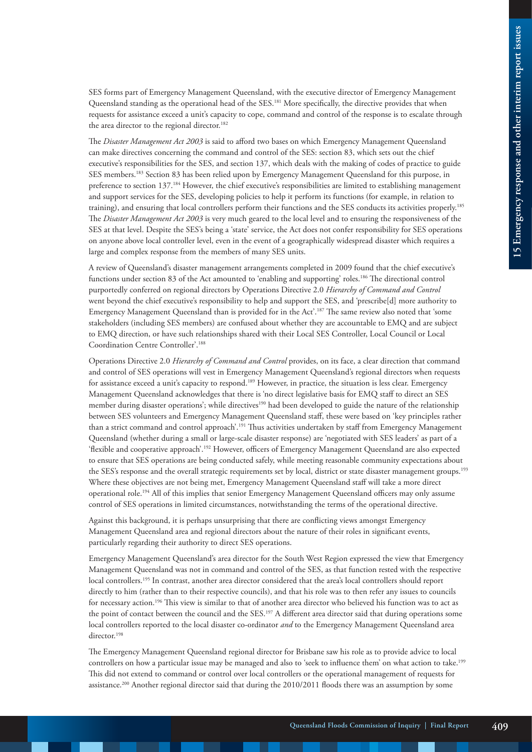SES forms part of Emergency Management Queensland, with the executive director of Emergency Management Queensland standing as the operational head of the SES.181 More specifically, the directive provides that when requests for assistance exceed a unit's capacity to cope, command and control of the response is to escalate through the area director to the regional director.<sup>182</sup>

The *Disaster Management Act 2003* is said to afford two bases on which Emergency Management Queensland can make directives concerning the command and control of the SES: section 83, which sets out the chief executive's responsibilities for the SES, and section 137, which deals with the making of codes of practice to guide SES members.183 Section 83 has been relied upon by Emergency Management Queensland for this purpose, in preference to section 137.184 However, the chief executive's responsibilities are limited to establishing management and support services for the SES, developing policies to help it perform its functions (for example, in relation to training), and ensuring that local controllers perform their functions and the SES conducts its activities properly.185 The *Disaster Management Act 2003* is very much geared to the local level and to ensuring the responsiveness of the SES at that level. Despite the SES's being a 'state' service, the Act does not confer responsibility for SES operations on anyone above local controller level, even in the event of a geographically widespread disaster which requires a large and complex response from the members of many SES units.

A review of Queensland's disaster management arrangements completed in 2009 found that the chief executive's functions under section 83 of the Act amounted to 'enabling and supporting' roles.186 The directional control purportedly conferred on regional directors by Operations Directive 2.0 *Hierarchy of Command and Control*  went beyond the chief executive's responsibility to help and support the SES, and 'prescribe[d] more authority to Emergency Management Queensland than is provided for in the Act'.187 The same review also noted that 'some stakeholders (including SES members) are confused about whether they are accountable to EMQ and are subject to EMQ direction, or have such relationships shared with their Local SES Controller, Local Council or Local Coordination Centre Controller'.188

Operations Directive 2.0 *Hierarchy of Command and Control* provides, on its face, a clear direction that command and control of SES operations will vest in Emergency Management Queensland's regional directors when requests for assistance exceed a unit's capacity to respond.189 However, in practice, the situation is less clear. Emergency Management Queensland acknowledges that there is 'no direct legislative basis for EMQ staff to direct an SES member during disaster operations'; while directives<sup>190</sup> had been developed to guide the nature of the relationship between SES volunteers and Emergency Management Queensland staff, these were based on 'key principles rather than a strict command and control approach'.191 Thus activities undertaken by staff from Emergency Management Queensland (whether during a small or large-scale disaster response) are 'negotiated with SES leaders' as part of a 'flexible and cooperative approach'.<sup>192</sup> However, officers of Emergency Management Queensland are also expected to ensure that SES operations are being conducted safely, while meeting reasonable community expectations about the SES's response and the overall strategic requirements set by local, district or state disaster management groups.<sup>193</sup> Where these objectives are not being met, Emergency Management Queensland staff will take a more direct operational role.194 All of this implies that senior Emergency Management Queensland officers may only assume control of SES operations in limited circumstances, notwithstanding the terms of the operational directive.

Against this background, it is perhaps unsurprising that there are conflicting views amongst Emergency Management Queensland area and regional directors about the nature of their roles in significant events, particularly regarding their authority to direct SES operations.

Emergency Management Queensland's area director for the South West Region expressed the view that Emergency Management Queensland was not in command and control of the SES, as that function rested with the respective local controllers.195 In contrast, another area director considered that the area's local controllers should report directly to him (rather than to their respective councils), and that his role was to then refer any issues to councils for necessary action.196 This view is similar to that of another area director who believed his function was to act as the point of contact between the council and the SES.<sup>197</sup> A different area director said that during operations some local controllers reported to the local disaster co-ordinator *and* to the Emergency Management Queensland area director.<sup>198</sup>

The Emergency Management Queensland regional director for Brisbane saw his role as to provide advice to local controllers on how a particular issue may be managed and also to 'seek to influence them' on what action to take.199 This did not extend to command or control over local controllers or the operational management of requests for assistance.200 Another regional director said that during the 2010/2011 floods there was an assumption by some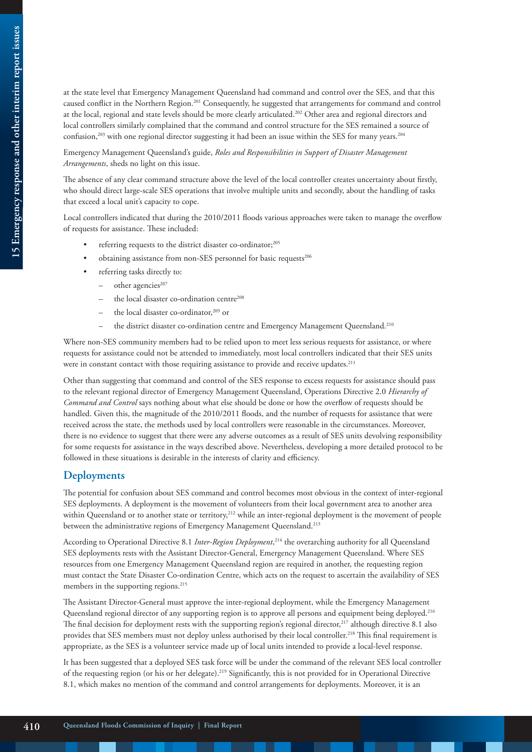at the state level that Emergency Management Queensland had command and control over the SES, and that this caused conflict in the Northern Region.201 Consequently, he suggested that arrangements for command and control at the local, regional and state levels should be more clearly articulated.202 Other area and regional directors and local controllers similarly complained that the command and control structure for the SES remained a source of confusion,<sup>203</sup> with one regional director suggesting it had been an issue within the SES for many years.<sup>204</sup>

Emergency Management Queensland's guide, *Roles and Responsibilities in Support of Disaster Management Arrangements*, sheds no light on this issue.

The absence of any clear command structure above the level of the local controller creates uncertainty about firstly, who should direct large-scale SES operations that involve multiple units and secondly, about the handling of tasks that exceed a local unit's capacity to cope.

Local controllers indicated that during the 2010/2011 floods various approaches were taken to manage the overflow of requests for assistance. These included:

- referring requests to the district disaster co-ordinator;<sup>205</sup>
- obtaining assistance from non-SES personnel for basic requests<sup>206</sup>
- referring tasks directly to:
	- other agencies<sup>207</sup>
	- the local disaster co-ordination centre<sup>208</sup>
	- the local disaster co-ordinator,<sup>209</sup> or
	- the district disaster co-ordination centre and Emergency Management Queensland.<sup>210</sup>

Where non-SES community members had to be relied upon to meet less serious requests for assistance, or where requests for assistance could not be attended to immediately, most local controllers indicated that their SES units were in constant contact with those requiring assistance to provide and receive updates.<sup>211</sup>

Other than suggesting that command and control of the SES response to excess requests for assistance should pass to the relevant regional director of Emergency Management Queensland, Operations Directive 2.0 *Hierarchy of Command and Control* says nothing about what else should be done or how the overflow of requests should be handled. Given this, the magnitude of the 2010/2011 floods, and the number of requests for assistance that were received across the state, the methods used by local controllers were reasonable in the circumstances. Moreover, there is no evidence to suggest that there were any adverse outcomes as a result of SES units devolving responsibility for some requests for assistance in the ways described above. Nevertheless, developing a more detailed protocol to be followed in these situations is desirable in the interests of clarity and efficiency.

#### **Deployments**

The potential for confusion about SES command and control becomes most obvious in the context of inter-regional SES deployments. A deployment is the movement of volunteers from their local government area to another area within Queensland or to another state or territory,<sup>212</sup> while an inter-regional deployment is the movement of people between the administrative regions of Emergency Management Queensland.<sup>213</sup>

According to Operational Directive 8.1 *Inter-Region Deployment*, <sup>214</sup> the overarching authority for all Queensland SES deployments rests with the Assistant Director-General, Emergency Management Queensland. Where SES resources from one Emergency Management Queensland region are required in another, the requesting region must contact the State Disaster Co-ordination Centre, which acts on the request to ascertain the availability of SES members in the supporting regions.<sup>215</sup>

The Assistant Director-General must approve the inter-regional deployment, while the Emergency Management Queensland regional director of any supporting region is to approve all persons and equipment being deployed.<sup>216</sup> The final decision for deployment rests with the supporting region's regional director, $217$  although directive 8.1 also provides that SES members must not deploy unless authorised by their local controller.218 This final requirement is appropriate, as the SES is a volunteer service made up of local units intended to provide a local-level response.

It has been suggested that a deployed SES task force will be under the command of the relevant SES local controller of the requesting region (or his or her delegate).219 Significantly, this is not provided for in Operational Directive 8.1, which makes no mention of the command and control arrangements for deployments. Moreover, it is an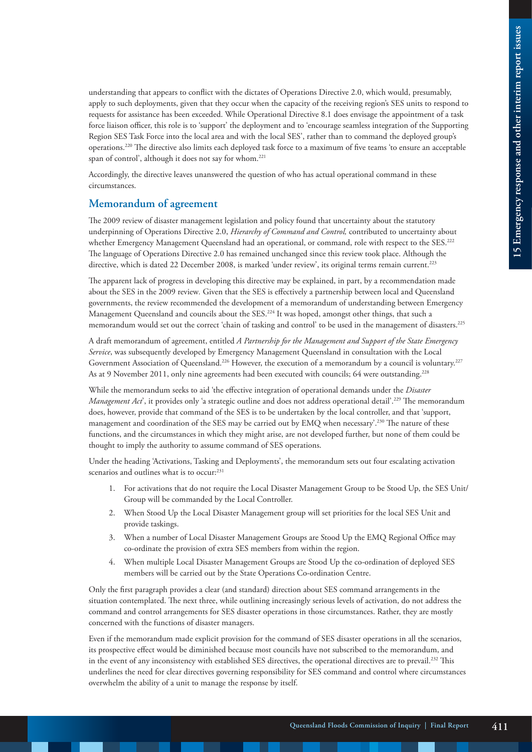understanding that appears to conflict with the dictates of Operations Directive 2.0, which would, presumably, apply to such deployments, given that they occur when the capacity of the receiving region's SES units to respond to requests for assistance has been exceeded. While Operational Directive 8.1 does envisage the appointment of a task force liaison officer, this role is to 'support' the deployment and to 'encourage seamless integration of the Supporting Region SES Task Force into the local area and with the local SES', rather than to command the deployed group's operations.220 The directive also limits each deployed task force to a maximum of five teams 'to ensure an acceptable span of control', although it does not say for whom.<sup>221</sup>

Accordingly, the directive leaves unanswered the question of who has actual operational command in these circumstances.

#### **Memorandum of agreement**

The 2009 review of disaster management legislation and policy found that uncertainty about the statutory underpinning of Operations Directive 2.0, *Hierarchy of Command and Control,* contributed to uncertainty about whether Emergency Management Queensland had an operational, or command, role with respect to the SES.<sup>222</sup> The language of Operations Directive 2.0 has remained unchanged since this review took place. Although the directive, which is dated 22 December 2008, is marked 'under review', its original terms remain current.<sup>223</sup>

The apparent lack of progress in developing this directive may be explained, in part, by a recommendation made about the SES in the 2009 review*.* Given that the SES is effectively a partnership between local and Queensland governments, the review recommended the development of a memorandum of understanding between Emergency Management Queensland and councils about the SES.224 It was hoped, amongst other things, that such a memorandum would set out the correct 'chain of tasking and control' to be used in the management of disasters.225

A draft memorandum of agreement, entitled *A Partnership for the Management and Support of the State Emergency Service*, was subsequently developed by Emergency Management Queensland in consultation with the Local Government Association of Queensland.<sup>226</sup> However, the execution of a memorandum by a council is voluntary.<sup>227</sup> As at 9 November 2011, only nine agreements had been executed with councils; 64 were outstanding.<sup>228</sup>

While the memorandum seeks to aid 'the effective integration of operational demands under the *Disaster Management Act*<sup>'</sup>, it provides only 'a strategic outline and does not address operational detail'.<sup>229</sup> The memorandum does, however, provide that command of the SES is to be undertaken by the local controller, and that 'support, management and coordination of the SES may be carried out by EMQ when necessary'.230 The nature of these functions, and the circumstances in which they might arise, are not developed further, but none of them could be thought to imply the authority to assume command of SES operations.

Under the heading 'Activations, Tasking and Deployments', the memorandum sets out four escalating activation scenarios and outlines what is to occur:<sup>231</sup>

- 1. For activations that do not require the Local Disaster Management Group to be Stood Up, the SES Unit/ Group will be commanded by the Local Controller.
- 2. When Stood Up the Local Disaster Management group will set priorities for the local SES Unit and provide taskings.
- 3. When a number of Local Disaster Management Groups are Stood Up the EMQ Regional Office may co-ordinate the provision of extra SES members from within the region.
- 4. When multiple Local Disaster Management Groups are Stood Up the co-ordination of deployed SES members will be carried out by the State Operations Co-ordination Centre.

Only the first paragraph provides a clear (and standard) direction about SES command arrangements in the situation contemplated. The next three, while outlining increasingly serious levels of activation, do not address the command and control arrangements for SES disaster operations in those circumstances. Rather, they are mostly concerned with the functions of disaster managers.

Even if the memorandum made explicit provision for the command of SES disaster operations in all the scenarios, its prospective effect would be diminished because most councils have not subscribed to the memorandum, and in the event of any inconsistency with established SES directives, the operational directives are to prevail.<sup>232</sup> This underlines the need for clear directives governing responsibility for SES command and control where circumstances overwhelm the ability of a unit to manage the response by itself.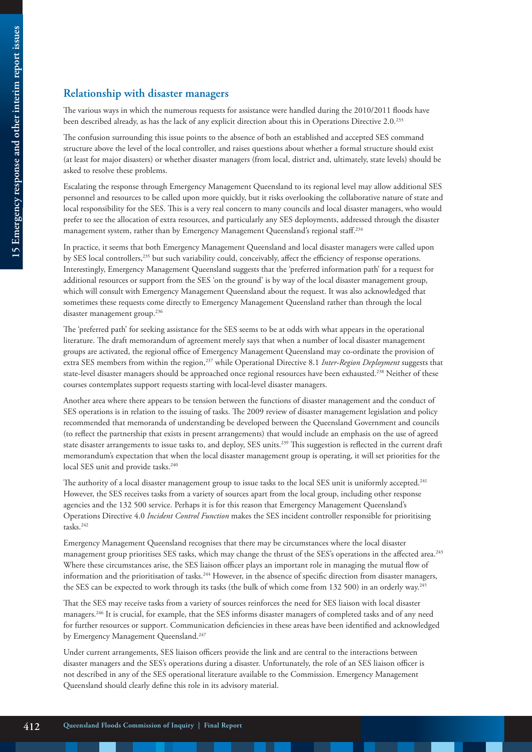#### **Relationship with disaster managers**

The various ways in which the numerous requests for assistance were handled during the 2010/2011 floods have been described already, as has the lack of any explicit direction about this in Operations Directive 2.0.233

The confusion surrounding this issue points to the absence of both an established and accepted SES command structure above the level of the local controller, and raises questions about whether a formal structure should exist (at least for major disasters) or whether disaster managers (from local, district and, ultimately, state levels) should be asked to resolve these problems.

Escalating the response through Emergency Management Queensland to its regional level may allow additional SES personnel and resources to be called upon more quickly, but it risks overlooking the collaborative nature of state and local responsibility for the SES. This is a very real concern to many councils and local disaster managers, who would prefer to see the allocation of extra resources, and particularly any SES deployments, addressed through the disaster management system, rather than by Emergency Management Queensland's regional staff.<sup>234</sup>

In practice, it seems that both Emergency Management Queensland and local disaster managers were called upon by SES local controllers,235 but such variability could, conceivably, affect the efficiency of response operations. Interestingly, Emergency Management Queensland suggests that the 'preferred information path' for a request for additional resources or support from the SES 'on the ground' is by way of the local disaster management group, which will consult with Emergency Management Queensland about the request. It was also acknowledged that sometimes these requests come directly to Emergency Management Queensland rather than through the local disaster management group.236

The 'preferred path' for seeking assistance for the SES seems to be at odds with what appears in the operational literature. The draft memorandum of agreement merely says that when a number of local disaster management groups are activated, the regional office of Emergency Management Queensland may co-ordinate the provision of extra SES members from within the region,237 while Operational Directive 8.1 *Inter-Region Deployment* suggests that state-level disaster managers should be approached once regional resources have been exhausted.238 Neither of these courses contemplates support requests starting with local-level disaster managers.

Another area where there appears to be tension between the functions of disaster management and the conduct of SES operations is in relation to the issuing of tasks. The 2009 review of disaster management legislation and policy recommended that memoranda of understanding be developed between the Queensland Government and councils (to reflect the partnership that exists in present arrangements) that would include an emphasis on the use of agreed state disaster arrangements to issue tasks to, and deploy, SES units.239 This suggestion is reflected in the current draft memorandum's expectation that when the local disaster management group is operating, it will set priorities for the local SES unit and provide tasks.<sup>240</sup>

The authority of a local disaster management group to issue tasks to the local SES unit is uniformly accepted.<sup>241</sup> However, the SES receives tasks from a variety of sources apart from the local group, including other response agencies and the 132 500 service. Perhaps it is for this reason that Emergency Management Queensland's Operations Directive 4.0 *Incident Control Function* makes the SES incident controller responsible for prioritising tasks.242

Emergency Management Queensland recognises that there may be circumstances where the local disaster management group prioritises SES tasks, which may change the thrust of the SES's operations in the affected area.<sup>243</sup> Where these circumstances arise, the SES liaison officer plays an important role in managing the mutual flow of information and the prioritisation of tasks.<sup>244</sup> However, in the absence of specific direction from disaster managers, the SES can be expected to work through its tasks (the bulk of which come from 132 500) in an orderly way.<sup>245</sup>

That the SES may receive tasks from a variety of sources reinforces the need for SES liaison with local disaster managers.246 It is crucial, for example, that the SES informs disaster managers of completed tasks and of any need for further resources or support. Communication deficiencies in these areas have been identified and acknowledged by Emergency Management Queensland.<sup>247</sup>

Under current arrangements, SES liaison officers provide the link and are central to the interactions between disaster managers and the SES's operations during a disaster. Unfortunately, the role of an SES liaison officer is not described in any of the SES operational literature available to the Commission. Emergency Management Queensland should clearly define this role in its advisory material.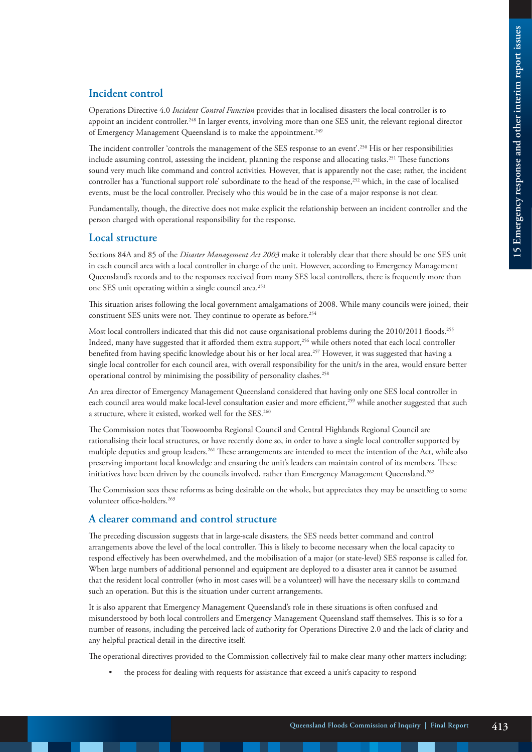#### **Incident control**

Operations Directive 4.0 *Incident Control Function* provides that in localised disasters the local controller is to appoint an incident controller.248 In larger events, involving more than one SES unit, the relevant regional director of Emergency Management Queensland is to make the appointment.<sup>249</sup>

The incident controller 'controls the management of the SES response to an event'.250 His or her responsibilities include assuming control, assessing the incident, planning the response and allocating tasks.<sup>251</sup> These functions sound very much like command and control activities. However, that is apparently not the case; rather, the incident controller has a 'functional support role' subordinate to the head of the response,<sup>252</sup> which, in the case of localised events, must be the local controller. Precisely who this would be in the case of a major response is not clear.

Fundamentally, though, the directive does not make explicit the relationship between an incident controller and the person charged with operational responsibility for the response.

#### **Local structure**

Sections 84A and 85 of the *Disaster Management Act 2003* make it tolerably clear that there should be one SES unit in each council area with a local controller in charge of the unit. However, according to Emergency Management Queensland's records and to the responses received from many SES local controllers, there is frequently more than one SES unit operating within a single council area.253

This situation arises following the local government amalgamations of 2008. While many councils were joined, their constituent SES units were not. They continue to operate as before.<sup>254</sup>

Most local controllers indicated that this did not cause organisational problems during the 2010/2011 floods.<sup>255</sup> Indeed, many have suggested that it afforded them extra support,<sup>256</sup> while others noted that each local controller benefited from having specific knowledge about his or her local area.257 However, it was suggested that having a single local controller for each council area, with overall responsibility for the unit/s in the area, would ensure better operational control by minimising the possibility of personality clashes.<sup>258</sup>

An area director of Emergency Management Queensland considered that having only one SES local controller in each council area would make local-level consultation easier and more efficient,<sup>259</sup> while another suggested that such a structure, where it existed, worked well for the SES.<sup>260</sup>

The Commission notes that Toowoomba Regional Council and Central Highlands Regional Council are rationalising their local structures, or have recently done so, in order to have a single local controller supported by multiple deputies and group leaders*.* 261 These arrangements are intended to meet the intention of the Act, while also preserving important local knowledge and ensuring the unit's leaders can maintain control of its members. These initiatives have been driven by the councils involved, rather than Emergency Management Queensland.<sup>262</sup>

The Commission sees these reforms as being desirable on the whole, but appreciates they may be unsettling to some volunteer office-holders.<sup>263</sup>

#### **A clearer command and control structure**

The preceding discussion suggests that in large-scale disasters, the SES needs better command and control arrangements above the level of the local controller. This is likely to become necessary when the local capacity to respond effectively has been overwhelmed, and the mobilisation of a major (or state-level) SES response is called for. When large numbers of additional personnel and equipment are deployed to a disaster area it cannot be assumed that the resident local controller (who in most cases will be a volunteer) will have the necessary skills to command such an operation. But this is the situation under current arrangements.

It is also apparent that Emergency Management Queensland's role in these situations is often confused and misunderstood by both local controllers and Emergency Management Queensland staff themselves. This is so for a number of reasons, including the perceived lack of authority for Operations Directive 2.0 and the lack of clarity and any helpful practical detail in the directive itself.

The operational directives provided to the Commission collectively fail to make clear many other matters including:

the process for dealing with requests for assistance that exceed a unit's capacity to respond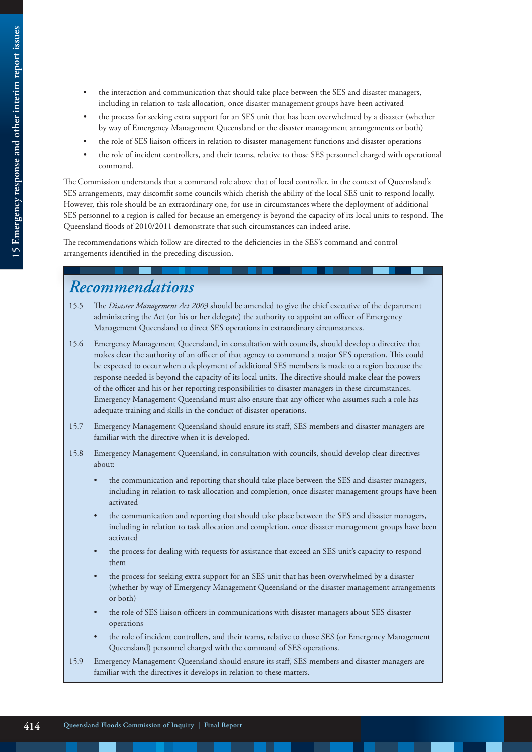- the interaction and communication that should take place between the SES and disaster managers, including in relation to task allocation, once disaster management groups have been activated
- the process for seeking extra support for an SES unit that has been overwhelmed by a disaster (whether by way of Emergency Management Queensland or the disaster management arrangements or both)
- the role of SES liaison officers in relation to disaster management functions and disaster operations
- the role of incident controllers, and their teams, relative to those SES personnel charged with operational command.

The Commission understands that a command role above that of local controller, in the context of Queensland's SES arrangements, may discomfit some councils which cherish the ability of the local SES unit to respond locally. However, this role should be an extraordinary one, for use in circumstances where the deployment of additional SES personnel to a region is called for because an emergency is beyond the capacity of its local units to respond. The Queensland floods of 2010/2011 demonstrate that such circumstances can indeed arise.

The recommendations which follow are directed to the deficiencies in the SES's command and control arrangements identified in the preceding discussion.

# *Recommendations*

- 15.5 The *Disaster Management Act 2003* should be amended to give the chief executive of the department administering the Act (or his or her delegate) the authority to appoint an officer of Emergency Management Queensland to direct SES operations in extraordinary circumstances.
- 15.6 Emergency Management Queensland, in consultation with councils, should develop a directive that makes clear the authority of an officer of that agency to command a major SES operation. This could be expected to occur when a deployment of additional SES members is made to a region because the response needed is beyond the capacity of its local units. The directive should make clear the powers of the officer and his or her reporting responsibilities to disaster managers in these circumstances. Emergency Management Queensland must also ensure that any officer who assumes such a role has adequate training and skills in the conduct of disaster operations.
- 15.7 Emergency Management Queensland should ensure its staff, SES members and disaster managers are familiar with the directive when it is developed.
- 15.8 Emergency Management Queensland, in consultation with councils, should develop clear directives about:
	- the communication and reporting that should take place between the SES and disaster managers, including in relation to task allocation and completion, once disaster management groups have been activated
	- the communication and reporting that should take place between the SES and disaster managers, including in relation to task allocation and completion, once disaster management groups have been activated
	- the process for dealing with requests for assistance that exceed an SES unit's capacity to respond them
	- the process for seeking extra support for an SES unit that has been overwhelmed by a disaster (whether by way of Emergency Management Queensland or the disaster management arrangements or both)
	- the role of SES liaison officers in communications with disaster managers about SES disaster operations
	- the role of incident controllers, and their teams, relative to those SES (or Emergency Management Queensland) personnel charged with the command of SES operations.
- 15.9 Emergency Management Queensland should ensure its staff, SES members and disaster managers are familiar with the directives it develops in relation to these matters.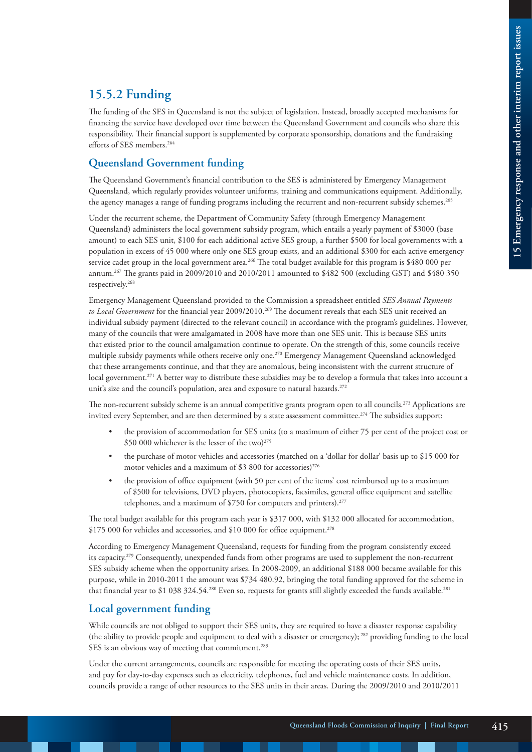## **15.5.2 Funding**

The funding of the SES in Queensland is not the subject of legislation. Instead, broadly accepted mechanisms for financing the service have developed over time between the Queensland Government and councils who share this responsibility. Their financial support is supplemented by corporate sponsorship, donations and the fundraising efforts of SES members.<sup>264</sup>

#### **Queensland Government funding**

The Queensland Government's financial contribution to the SES is administered by Emergency Management Queensland, which regularly provides volunteer uniforms, training and communications equipment. Additionally, the agency manages a range of funding programs including the recurrent and non-recurrent subsidy schemes.<sup>265</sup>

Under the recurrent scheme, the Department of Community Safety (through Emergency Management Queensland) administers the local government subsidy program, which entails a yearly payment of \$3000 (base amount) to each SES unit, \$100 for each additional active SES group, a further \$500 for local governments with a population in excess of 45 000 where only one SES group exists, and an additional \$300 for each active emergency service cadet group in the local government area.<sup>266</sup> The total budget available for this program is \$480 000 per annum.267 The grants paid in 2009/2010 and 2010/2011 amounted to \$482 500 (excluding GST) and \$480 350 respectively.268

Emergency Management Queensland provided to the Commission a spreadsheet entitled *SES Annual Payments*  to Local Government for the financial year 2009/2010.<sup>269</sup> The document reveals that each SES unit received an individual subsidy payment (directed to the relevant council) in accordance with the program's guidelines. However, many of the councils that were amalgamated in 2008 have more than one SES unit. This is because SES units that existed prior to the council amalgamation continue to operate. On the strength of this, some councils receive multiple subsidy payments while others receive only one.<sup>270</sup> Emergency Management Queensland acknowledged that these arrangements continue, and that they are anomalous, being inconsistent with the current structure of local government.271 A better way to distribute these subsidies may be to develop a formula that takes into account a unit's size and the council's population, area and exposure to natural hazards.<sup>272</sup>

The non-recurrent subsidy scheme is an annual competitive grants program open to all councils.<sup>273</sup> Applications are invited every September, and are then determined by a state assessment committee.274 The subsidies support:

- the provision of accommodation for SES units (to a maximum of either 75 per cent of the project cost or \$50 000 whichever is the lesser of the two) $275$
- the purchase of motor vehicles and accessories (matched on a 'dollar for dollar' basis up to \$15 000 for motor vehicles and a maximum of \$3 800 for accessories)<sup>276</sup>
- the provision of office equipment (with 50 per cent of the items' cost reimbursed up to a maximum of \$500 for televisions, DVD players, photocopiers, facsimiles, general office equipment and satellite telephones, and a maximum of  $$750$  for computers and printers).<sup>277</sup>

The total budget available for this program each year is \$317 000, with \$132 000 allocated for accommodation, \$175 000 for vehicles and accessories, and \$10 000 for office equipment.<sup>278</sup>

According to Emergency Management Queensland, requests for funding from the program consistently exceed its capacity.279 Consequently, unexpended funds from other programs are used to supplement the non-recurrent SES subsidy scheme when the opportunity arises. In 2008-2009, an additional \$188 000 became available for this purpose, while in 2010-2011 the amount was \$734 480.92, bringing the total funding approved for the scheme in that financial year to \$1 038 324.54.<sup>280</sup> Even so, requests for grants still slightly exceeded the funds available.<sup>281</sup>

#### **Local government funding**

While councils are not obliged to support their SES units, they are required to have a disaster response capability (the ability to provide people and equipment to deal with a disaster or emergency); 282 providing funding to the local SES is an obvious way of meeting that commitment.<sup>283</sup>

Under the current arrangements, councils are responsible for meeting the operating costs of their SES units, and pay for day-to-day expenses such as electricity, telephones, fuel and vehicle maintenance costs. In addition, councils provide a range of other resources to the SES units in their areas. During the 2009/2010 and 2010/2011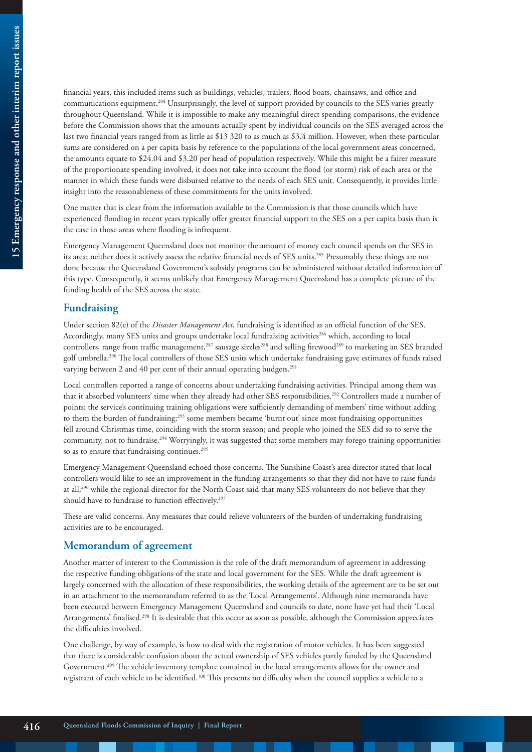financial years, this included items such as buildings, vehicles, trailers, flood boats, chainsaws, and office and communications equipment.284 Unsurprisingly, the level of support provided by councils to the SES varies greatly throughout Queensland. While it is impossible to make any meaningful direct spending comparisons, the evidence before the Commission shows that the amounts actually spent by individual councils on the SES averaged across the last two financial years ranged from as little as \$13 320 to as much as \$3.4 million. However, when these particular sums are considered on a per capita basis by reference to the populations of the local government areas concerned, the amounts equate to \$24.04 and \$3.20 per head of population respectively. While this might be a fairer measure of the proportionate spending involved, it does not take into account the flood (or storm) risk of each area or the manner in which these funds were disbursed relative to the needs of each SES unit. Consequently, it provides little insight into the reasonableness of these commitments for the units involved.

One matter that is clear from the information available to the Commission is that those councils which have experienced flooding in recent years typically offer greater financial support to the SES on a per capita basis than is the case in those areas where flooding is infrequent.

Emergency Management Queensland does not monitor the amount of money each council spends on the SES in its area; neither does it actively assess the relative financial needs of SES units.<sup>285</sup> Presumably these things are not done because the Queensland Government's subsidy programs can be administered without detailed information of this type. Consequently, it seems unlikely that Emergency Management Queensland has a complete picture of the funding health of the SES across the state.

#### **Fundraising**

Under section 82(e) of the *Disaster Management Act*, fundraising is identified as an official function of the SES. Accordingly, many SES units and groups undertake local fundraising activities<sup>286</sup> which, according to local controllers, range from traffic management,<sup>287</sup> sausage sizzles<sup>288</sup> and selling firewood<sup>289</sup> to marketing an SES branded golf umbrella.290 The local controllers of those SES units which undertake fundraising gave estimates of funds raised varying between 2 and 40 per cent of their annual operating budgets.<sup>291</sup>

Local controllers reported a range of concerns about undertaking fundraising activities. Principal among them was that it absorbed volunteers' time when they already had other SES responsibilities.292 Controllers made a number of points: the service's continuing training obligations were sufficiently demanding of members' time without adding to them the burden of fundraising;293 some members became 'burnt out' since most fundraising opportunities fell around Christmas time, coinciding with the storm season; and people who joined the SES did so to serve the community, not to fundraise.294 Worryingly, it was suggested that some members may forego training opportunities so as to ensure that fundraising continues.<sup>295</sup>

Emergency Management Queensland echoed those concerns. The Sunshine Coast's area director stated that local controllers would like to see an improvement in the funding arrangements so that they did not have to raise funds at all,296 while the regional director for the North Coast said that many SES volunteers do not believe that they should have to fundraise to function effectively.<sup>297</sup>

These are valid concerns. Any measures that could relieve volunteers of the burden of undertaking fundraising activities are to be encouraged.

#### **Memorandum of agreement**

Another matter of interest to the Commission is the role of the draft memorandum of agreement in addressing the respective funding obligations of the state and local government for the SES. While the draft agreement is largely concerned with the allocation of these responsibilities, the working details of the agreement are to be set out in an attachment to the memorandum referred to as the 'Local Arrangements'. Although nine memoranda have been executed between Emergency Management Queensland and councils to date, none have yet had their 'Local Arrangements' finalised.298 It is desirable that this occur as soon as possible, although the Commission appreciates the difficulties involved.

One challenge, by way of example, is how to deal with the registration of motor vehicles. It has been suggested that there is considerable confusion about the actual ownership of SES vehicles partly funded by the Queensland Government.299 The vehicle inventory template contained in the local arrangements allows for the owner and registrant of each vehicle to be identified.300 This presents no difficulty when the council supplies a vehicle to a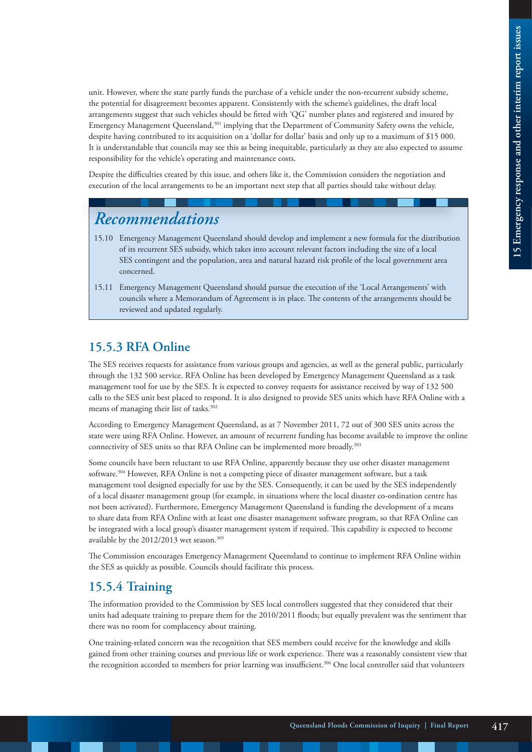unit. However, where the state partly funds the purchase of a vehicle under the non-recurrent subsidy scheme, the potential for disagreement becomes apparent. Consistently with the scheme's guidelines, the draft local arrangements suggest that such vehicles should be fitted with 'QG' number plates and registered and insured by Emergency Management Queensland,301 implying that the Department of Community Safety owns the vehicle, despite having contributed to its acquisition on a 'dollar for dollar' basis and only up to a maximum of \$15 000. It is understandable that councils may see this as being inequitable, particularly as they are also expected to assume responsibility for the vehicle's operating and maintenance costs.

Despite the difficulties created by this issue, and others like it, the Commission considers the negotiation and execution of the local arrangements to be an important next step that all parties should take without delay.

# *Recommendations*

- 15.10 Emergency Management Queensland should develop and implement a new formula for the distribution of its recurrent SES subsidy, which takes into account relevant factors including the size of a local SES contingent and the population, area and natural hazard risk profile of the local government area concerned.
- 15.11 Emergency Management Queensland should pursue the execution of the 'Local Arrangements' with councils where a Memorandum of Agreement is in place. The contents of the arrangements should be reviewed and updated regularly.

## **15.5.3 RFA Online**

The SES receives requests for assistance from various groups and agencies, as well as the general public, particularly through the 132 500 service. RFA Online has been developed by Emergency Management Queensland as a task management tool for use by the SES. It is expected to convey requests for assistance received by way of 132 500 calls to the SES unit best placed to respond. It is also designed to provide SES units which have RFA Online with a means of managing their list of tasks.<sup>302</sup>

According to Emergency Management Queensland, as at 7 November 2011, 72 out of 300 SES units across the state were using RFA Online. However, an amount of recurrent funding has become available to improve the online connectivity of SES units so that RFA Online can be implemented more broadly.<sup>303</sup>

Some councils have been reluctant to use RFA Online, apparently because they use other disaster management software.304 However, RFA Online is not a competing piece of disaster management software, but a task management tool designed especially for use by the SES. Consequently, it can be used by the SES independently of a local disaster management group (for example, in situations where the local disaster co-ordination centre has not been activated). Furthermore, Emergency Management Queensland is funding the development of a means to share data from RFA Online with at least one disaster management software program, so that RFA Online can be integrated with a local group's disaster management system if required. This capability is expected to become available by the 2012/2013 wet season.<sup>305</sup>

The Commission encourages Emergency Management Queensland to continue to implement RFA Online within the SES as quickly as possible. Councils should facilitate this process.

## **15.5.4 Training**

The information provided to the Commission by SES local controllers suggested that they considered that their units had adequate training to prepare them for the 2010/2011 floods; but equally prevalent was the sentiment that there was no room for complacency about training.

One training-related concern was the recognition that SES members could receive for the knowledge and skills gained from other training courses and previous life or work experience. There was a reasonably consistent view that the recognition accorded to members for prior learning was insufficient.<sup>306</sup> One local controller said that volunteers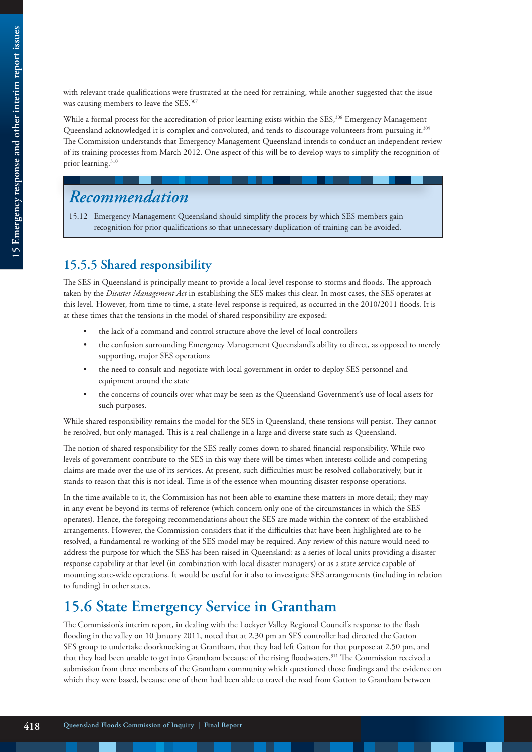with relevant trade qualifications were frustrated at the need for retraining, while another suggested that the issue was causing members to leave the SES.<sup>307</sup>

While a formal process for the accreditation of prior learning exists within the SES,<sup>308</sup> Emergency Management Queensland acknowledged it is complex and convoluted, and tends to discourage volunteers from pursuing it.309 The Commission understands that Emergency Management Queensland intends to conduct an independent review of its training processes from March 2012. One aspect of this will be to develop ways to simplify the recognition of prior learning.310

# *Recommendation*

15.12 Emergency Management Queensland should simplify the process by which SES members gain recognition for prior qualifications so that unnecessary duplication of training can be avoided.

## **15.5.5 Shared responsibility**

The SES in Queensland is principally meant to provide a local-level response to storms and floods. The approach taken by the *Disaster Management Act* in establishing the SES makes this clear. In most cases, the SES operates at this level. However, from time to time, a state-level response is required, as occurred in the 2010/2011 floods. It is at these times that the tensions in the model of shared responsibility are exposed:

- the lack of a command and control structure above the level of local controllers
- the confusion surrounding Emergency Management Queensland's ability to direct, as opposed to merely supporting, major SES operations
- the need to consult and negotiate with local government in order to deploy SES personnel and equipment around the state
- the concerns of councils over what may be seen as the Queensland Government's use of local assets for such purposes.

While shared responsibility remains the model for the SES in Queensland, these tensions will persist. They cannot be resolved, but only managed. This is a real challenge in a large and diverse state such as Queensland.

The notion of shared responsibility for the SES really comes down to shared financial responsibility. While two levels of government contribute to the SES in this way there will be times when interests collide and competing claims are made over the use of its services. At present, such difficulties must be resolved collaboratively, but it stands to reason that this is not ideal. Time is of the essence when mounting disaster response operations.

In the time available to it, the Commission has not been able to examine these matters in more detail; they may in any event be beyond its terms of reference (which concern only one of the circumstances in which the SES operates). Hence, the foregoing recommendations about the SES are made within the context of the established arrangements. However, the Commission considers that if the difficulties that have been highlighted are to be resolved, a fundamental re-working of the SES model may be required. Any review of this nature would need to address the purpose for which the SES has been raised in Queensland: as a series of local units providing a disaster response capability at that level (in combination with local disaster managers) or as a state service capable of mounting state-wide operations. It would be useful for it also to investigate SES arrangements (including in relation to funding) in other states.

# **15.6 State Emergency Service in Grantham**

The Commission's interim report, in dealing with the Lockyer Valley Regional Council's response to the flash flooding in the valley on 10 January 2011, noted that at 2.30 pm an SES controller had directed the Gatton SES group to undertake doorknocking at Grantham, that they had left Gatton for that purpose at 2.50 pm, and that they had been unable to get into Grantham because of the rising floodwaters.<sup>311</sup> The Commission received a submission from three members of the Grantham community which questioned those findings and the evidence on which they were based, because one of them had been able to travel the road from Gatton to Grantham between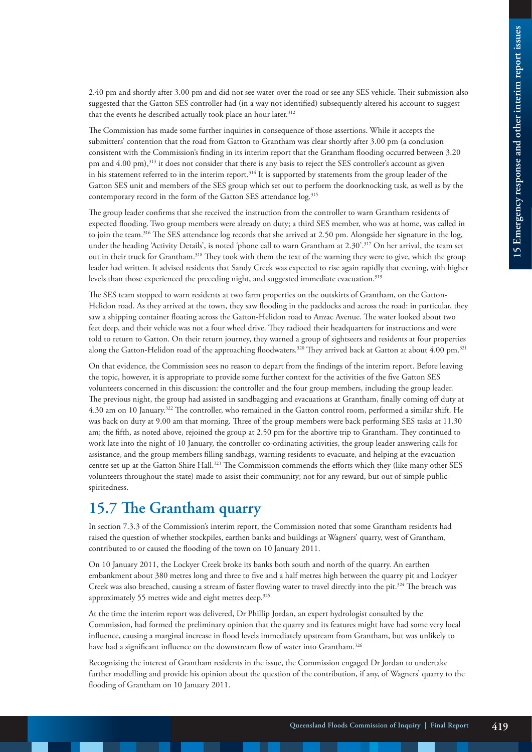2.40 pm and shortly after 3.00 pm and did not see water over the road or see any SES vehicle. Their submission also suggested that the Gatton SES controller had (in a way not identified) subsequently altered his account to suggest that the events he described actually took place an hour later.<sup>312</sup>

The Commission has made some further inquiries in consequence of those assertions. While it accepts the submitters' contention that the road from Gatton to Grantham was clear shortly after 3.00 pm (a conclusion consistent with the Commission's finding in its interim report that the Grantham flooding occurred between 3.20 pm and 4.00 pm),<sup>313</sup> it does not consider that there is any basis to reject the SES controller's account as given in his statement referred to in the interim report.<sup>314</sup> It is supported by statements from the group leader of the Gatton SES unit and members of the SES group which set out to perform the doorknocking task, as well as by the contemporary record in the form of the Gatton SES attendance log.<sup>315</sup>

The group leader confirms that she received the instruction from the controller to warn Grantham residents of expected flooding. Two group members were already on duty; a third SES member, who was at home, was called in to join the team.316 The SES attendance log records that she arrived at 2.50 pm. Alongside her signature in the log, under the heading 'Activity Details', is noted 'phone call to warn Grantham at 2.30'.<sup>317</sup> On her arrival, the team set out in their truck for Grantham.318 They took with them the text of the warning they were to give, which the group leader had written. It advised residents that Sandy Creek was expected to rise again rapidly that evening, with higher levels than those experienced the preceding night, and suggested immediate evacuation.<sup>319</sup>

The SES team stopped to warn residents at two farm properties on the outskirts of Grantham, on the Gatton-Helidon road. As they arrived at the town, they saw flooding in the paddocks and across the road: in particular, they saw a shipping container floating across the Gatton-Helidon road to Anzac Avenue. The water looked about two feet deep, and their vehicle was not a four wheel drive. They radioed their headquarters for instructions and were told to return to Gatton. On their return journey, they warned a group of sightseers and residents at four properties along the Gatton-Helidon road of the approaching floodwaters.<sup>320</sup> They arrived back at Gatton at about 4.00 pm.<sup>321</sup>

On that evidence, the Commission sees no reason to depart from the findings of the interim report. Before leaving the topic, however, it is appropriate to provide some further context for the activities of the five Gatton SES volunteers concerned in this discussion: the controller and the four group members, including the group leader. The previous night, the group had assisted in sandbagging and evacuations at Grantham, finally coming off duty at 4.30 am on 10 January.322 The controller, who remained in the Gatton control room, performed a similar shift. He was back on duty at 9.00 am that morning. Three of the group members were back performing SES tasks at 11.30 am; the fifth, as noted above, rejoined the group at 2.50 pm for the abortive trip to Grantham. They continued to work late into the night of 10 January, the controller co-ordinating activities, the group leader answering calls for assistance, and the group members filling sandbags, warning residents to evacuate, and helping at the evacuation centre set up at the Gatton Shire Hall.323 The Commission commends the efforts which they (like many other SES volunteers throughout the state) made to assist their community; not for any reward, but out of simple publicspiritedness.

# **15.7 The Grantham quarry**

In section 7.3.3 of the Commission's interim report, the Commission noted that some Grantham residents had raised the question of whether stockpiles, earthen banks and buildings at Wagners' quarry, west of Grantham, contributed to or caused the flooding of the town on 10 January 2011.

On 10 January 2011, the Lockyer Creek broke its banks both south and north of the quarry. An earthen embankment about 380 metres long and three to five and a half metres high between the quarry pit and Lockyer Creek was also breached, causing a stream of faster flowing water to travel directly into the pit.324 The breach was approximately 55 metres wide and eight metres deep.325

At the time the interim report was delivered, Dr Phillip Jordan, an expert hydrologist consulted by the Commission, had formed the preliminary opinion that the quarry and its features might have had some very local influence, causing a marginal increase in flood levels immediately upstream from Grantham, but was unlikely to have had a significant influence on the downstream flow of water into Grantham.<sup>326</sup>

Recognising the interest of Grantham residents in the issue, the Commission engaged Dr Jordan to undertake further modelling and provide his opinion about the question of the contribution, if any, of Wagners' quarry to the flooding of Grantham on 10 January 2011.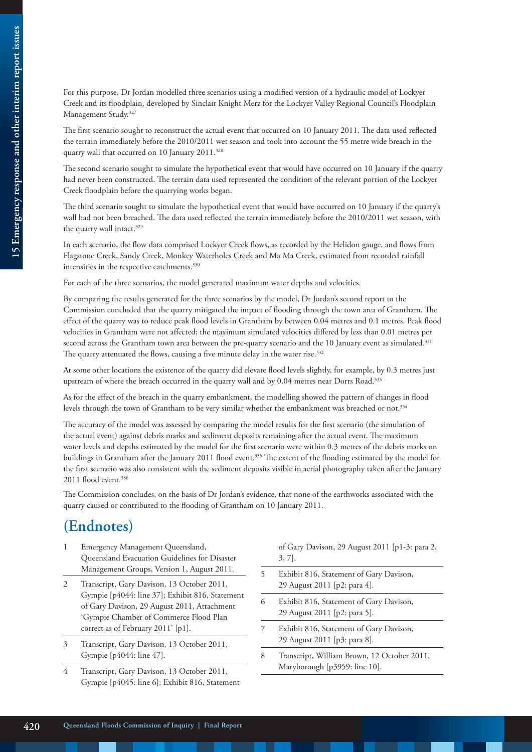For this purpose, Dr Jordan modelled three scenarios using a modified version of a hydraulic model of Lockyer Creek and its floodplain, developed by Sinclair Knight Merz for the Lockyer Valley Regional Council's Floodplain Management Study.327

The first scenario sought to reconstruct the actual event that occurred on 10 January 2011. The data used reflected the terrain immediately before the 2010/2011 wet season and took into account the 55 metre wide breach in the quarry wall that occurred on 10 January 2011.<sup>328</sup>

The second scenario sought to simulate the hypothetical event that would have occurred on 10 January if the quarry had never been constructed. The terrain data used represented the condition of the relevant portion of the Lockyer Creek floodplain before the quarrying works began.

The third scenario sought to simulate the hypothetical event that would have occurred on 10 January if the quarry's wall had not been breached. The data used reflected the terrain immediately before the 2010/2011 wet season, with the quarry wall intact.<sup>329</sup>

In each scenario, the flow data comprised Lockyer Creek flows, as recorded by the Helidon gauge, and flows from Flagstone Creek, Sandy Creek, Monkey Waterholes Creek and Ma Ma Creek, estimated from recorded rainfall intensities in the respective catchments.<sup>330</sup>

For each of the three scenarios, the model generated maximum water depths and velocities.

By comparing the results generated for the three scenarios by the model, Dr Jordan's second report to the Commission concluded that the quarry mitigated the impact of flooding through the town area of Grantham. The effect of the quarry was to reduce peak flood levels in Grantham by between 0.04 metres and 0.1 metres. Peak flood velocities in Grantham were not affected; the maximum simulated velocities differed by less than 0.01 metres per second across the Grantham town area between the pre-quarry scenario and the 10 January event as simulated.<sup>331</sup> The quarry attenuated the flows, causing a five minute delay in the water rise.<sup>332</sup>

At some other locations the existence of the quarry did elevate flood levels slightly, for example, by 0.3 metres just upstream of where the breach occurred in the quarry wall and by 0.04 metres near Dorrs Road.<sup>333</sup>

As for the effect of the breach in the quarry embankment, the modelling showed the pattern of changes in flood levels through the town of Grantham to be very similar whether the embankment was breached or not.334

The accuracy of the model was assessed by comparing the model results for the first scenario (the simulation of the actual event) against debris marks and sediment deposits remaining after the actual event. The maximum water levels and depths estimated by the model for the first scenario were within 0.3 metres of the debris marks on buildings in Grantham after the January 2011 flood event.335 The extent of the flooding estimated by the model for the first scenario was also consistent with the sediment deposits visible in aerial photography taken after the January 2011 flood event.<sup>336</sup>

The Commission concludes, on the basis of Dr Jordan's evidence, that none of the earthworks associated with the quarry caused or contributed to the flooding of Grantham on 10 January 2011.

# **(Endnotes)**

- 1 Emergency Management Queensland, Queensland Evacuation Guidelines for Disaster Management Groups, Version 1, August 2011.
- 2 Transcript, Gary Davison, 13 October 2011, Gympie [p4044: line 37]; Exhibit 816, Statement of Gary Davison, 29 August 2011, Attachment 'Gympie Chamber of Commerce Flood Plan correct as of February 2011' [p1].
- 3 Transcript, Gary Davison, 13 October 2011, Gympie [p4044: line 47].
- 4 Transcript, Gary Davison, 13 October 2011, Gympie [p4045: line 6]; Exhibit 816, Statement

of Gary Davison, 29 August 2011 [p1-3: para 2, 3, 7].

- 5 Exhibit 816, Statement of Gary Davison, 29 August 2011 [p2: para 4].
- 6 Exhibit 816, Statement of Gary Davison, 29 August 2011 [p2: para 5].
- 7 Exhibit 816, Statement of Gary Davison, 29 August 2011 [p3: para 8].
- 8 Transcript, William Brown, 12 October 2011, Maryborough [p3959: line 10].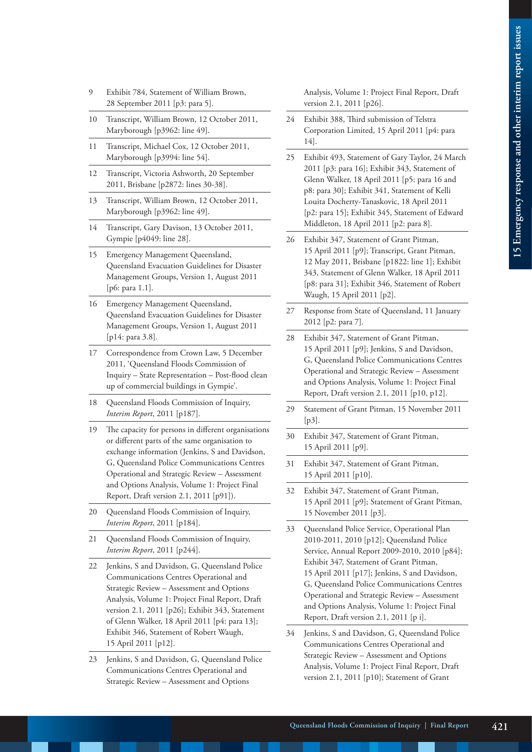- 9 Exhibit 784, Statement of William Brown, 28 September 2011 [p3: para 5].
- 10 Transcript, William Brown, 12 October 2011, Maryborough [p3962: line 49].
- 11 Transcript, Michael Cox, 12 October 2011, Maryborough [p3994: line 54].
- 12 Transcript, Victoria Ashworth, 20 September 2011, Brisbane [p2872: lines 30-38].
- 13 Transcript, William Brown, 12 October 2011, Maryborough [p3962: line 49].
- 14 Transcript, Gary Davison, 13 October 2011, Gympie [p4049: line 28].
- 15 Emergency Management Queensland, Queensland Evacuation Guidelines for Disaster Management Groups, Version 1, August 2011 [p6: para 1.1].
- 16 Emergency Management Queensland, Queensland Evacuation Guidelines for Disaster Management Groups, Version 1, August 2011 [p14: para 3.8].
- 17 Correspondence from Crown Law, 5 December 2011, 'Queensland Floods Commission of Inquiry – State Representation – Post-flood clean up of commercial buildings in Gympie'.
- 18 Queensland Floods Commission of Inquiry, *Interim Report*, 2011 [p187].
- 19 The capacity for persons in different organisations or different parts of the same organisation to exchange information (Jenkins, S and Davidson, G, Queensland Police Communications Centres Operational and Strategic Review – Assessment and Options Analysis, Volume 1: Project Final Report, Draft version 2.1, 2011 [p91]).
- 20 Queensland Floods Commission of Inquiry, *Interim Report*, 2011 [p184].
- 21 Queensland Floods Commission of Inquiry, *Interim Report*, 2011 [p244].
- 22 Jenkins, S and Davidson, G, Queensland Police Communications Centres Operational and Strategic Review – Assessment and Options Analysis, Volume 1: Project Final Report, Draft version 2.1, 2011 [p26]; Exhibit 343, Statement of Glenn Walker, 18 April 2011 [p4: para 13]; Exhibit 346, Statement of Robert Waugh, 15 April 2011 [p12].
- 23 Jenkins, S and Davidson, G, Queensland Police Communications Centres Operational and Strategic Review – Assessment and Options

Analysis, Volume 1: Project Final Report, Draft version 2.1, 2011 [p26].

- 24 Exhibit 388, Third submission of Telstra Corporation Limited, 15 April 2011 [p4: para 14].
- 25 Exhibit 493, Statement of Gary Taylor, 24 March 2011 [p3: para 16]; Exhibit 343, Statement of Glenn Walker, 18 April 2011 [p5: para 16 and p8: para 30]; Exhibit 341, Statement of Kelli Louita Docherty-Tanaskovic, 18 April 2011 [p2: para 15]; Exhibit 345, Statement of Edward Middleton, 18 April 2011 [p2: para 8].
- 26 Exhibit 347, Statement of Grant Pitman, 15 April 2011 [p9]; Transcript, Grant Pitman, 12 May 2011, Brisbane [p1822: line 1]; Exhibit 343, Statement of Glenn Walker, 18 April 2011 [p8: para 31]; Exhibit 346, Statement of Robert Waugh, 15 April 2011 [p2].
- 27 Response from State of Queensland, 11 January 2012 [p2: para 7].
- 28 Exhibit 347, Statement of Grant Pitman, 15 April 2011 [p9]; Jenkins, S and Davidson, G, Queensland Police Communications Centres Operational and Strategic Review – Assessment and Options Analysis, Volume 1: Project Final Report, Draft version 2.1, 2011 [p10, p12].
- 29 Statement of Grant Pitman, 15 November 2011 [p3].
- 30 Exhibit 347, Statement of Grant Pitman, 15 April 2011 [p9].
- 31 Exhibit 347, Statement of Grant Pitman, 15 April 2011 [p10].
- 32 Exhibit 347, Statement of Grant Pitman, 15 April 2011 [p9]; Statement of Grant Pitman, 15 November 2011 [p3].
- 33 Queensland Police Service, Operational Plan 2010-2011, 2010 [p12]; Queensland Police Service, Annual Report 2009-2010, 2010 [p84]; Exhibit 347, Statement of Grant Pitman, 15 April 2011 [p17]; Jenkins, S and Davidson, G, Queensland Police Communications Centres Operational and Strategic Review – Assessment and Options Analysis, Volume 1: Project Final Report, Draft version 2.1, 2011 [p i].
- 34 Jenkins, S and Davidson, G, Queensland Police Communications Centres Operational and Strategic Review – Assessment and Options Analysis, Volume 1: Project Final Report, Draft version 2.1, 2011 [p10]; Statement of Grant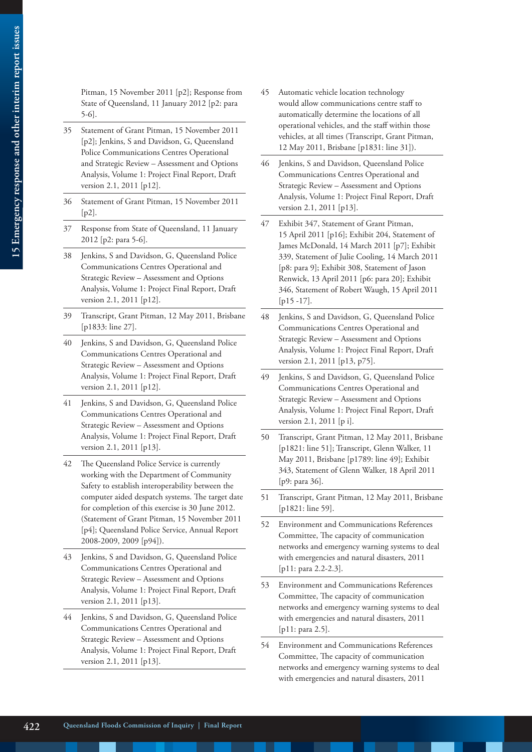Pitman, 15 November 2011 [p2]; Response from State of Queensland, 11 January 2012 [p2: para 5-6].

- 35 Statement of Grant Pitman, 15 November 2011 [p2]; Jenkins, S and Davidson, G, Queensland Police Communications Centres Operational and Strategic Review – Assessment and Options Analysis, Volume 1: Project Final Report, Draft version 2.1, 2011 [p12].
- 36 Statement of Grant Pitman, 15 November 2011  $[p2]$ .
- 37 Response from State of Queensland, 11 January 2012 [p2: para 5-6].
- 38 Jenkins, S and Davidson, G, Queensland Police Communications Centres Operational and Strategic Review – Assessment and Options Analysis, Volume 1: Project Final Report, Draft version 2.1, 2011 [p12].
- 39 Transcript, Grant Pitman, 12 May 2011, Brisbane [p1833: line 27].
- 40 Jenkins, S and Davidson, G, Queensland Police Communications Centres Operational and Strategic Review – Assessment and Options Analysis, Volume 1: Project Final Report, Draft version 2.1, 2011 [p12].
- 41 Jenkins, S and Davidson, G, Queensland Police Communications Centres Operational and Strategic Review – Assessment and Options Analysis, Volume 1: Project Final Report, Draft version 2.1, 2011 [p13].
- 42 The Queensland Police Service is currently working with the Department of Community Safety to establish interoperability between the computer aided despatch systems. The target date for completion of this exercise is 30 June 2012. (Statement of Grant Pitman, 15 November 2011 [p4]; Queensland Police Service, Annual Report 2008-2009, 2009 [p94]).
- 43 Jenkins, S and Davidson, G, Queensland Police Communications Centres Operational and Strategic Review – Assessment and Options Analysis, Volume 1: Project Final Report, Draft version 2.1, 2011 [p13].
- 44 Jenkins, S and Davidson, G, Queensland Police Communications Centres Operational and Strategic Review – Assessment and Options Analysis, Volume 1: Project Final Report, Draft version 2.1, 2011 [p13].
- 45 Automatic vehicle location technology would allow communications centre staff to automatically determine the locations of all operational vehicles, and the staff within those vehicles, at all times (Transcript, Grant Pitman, 12 May 2011, Brisbane [p1831: line 31]).
- 46 Jenkins, S and Davidson, Queensland Police Communications Centres Operational and Strategic Review – Assessment and Options Analysis, Volume 1: Project Final Report, Draft version 2.1, 2011 [p13].
- 47 Exhibit 347, Statement of Grant Pitman, 15 April 2011 [p16]; Exhibit 204, Statement of James McDonald, 14 March 2011 [p7]; Exhibit 339, Statement of Julie Cooling, 14 March 2011 [p8: para 9]; Exhibit 308, Statement of Jason Renwick, 13 April 2011 [p6: para 20]; Exhibit 346, Statement of Robert Waugh, 15 April 2011 [p15 -17].
- 48 Jenkins, S and Davidson, G, Queensland Police Communications Centres Operational and Strategic Review – Assessment and Options Analysis, Volume 1: Project Final Report, Draft version 2.1, 2011 [p13, p75].
- 49 Jenkins, S and Davidson, G, Queensland Police Communications Centres Operational and Strategic Review – Assessment and Options Analysis, Volume 1: Project Final Report, Draft version 2.1, 2011 [p i].
- 50 Transcript, Grant Pitman, 12 May 2011, Brisbane [p1821: line 51]; Transcript, Glenn Walker, 11 May 2011, Brisbane [p1789: line 49]; Exhibit 343, Statement of Glenn Walker, 18 April 2011 [p9: para 36].
- 51 Transcript, Grant Pitman, 12 May 2011, Brisbane [p1821: line 59].
- 52 Environment and Communications References Committee, The capacity of communication networks and emergency warning systems to deal with emergencies and natural disasters, 2011 [p11: para 2.2-2.3].
- 53 Environment and Communications References Committee, The capacity of communication networks and emergency warning systems to deal with emergencies and natural disasters, 2011 [p11: para 2.5].
- 54 Environment and Communications References Committee, The capacity of communication networks and emergency warning systems to deal with emergencies and natural disasters, 2011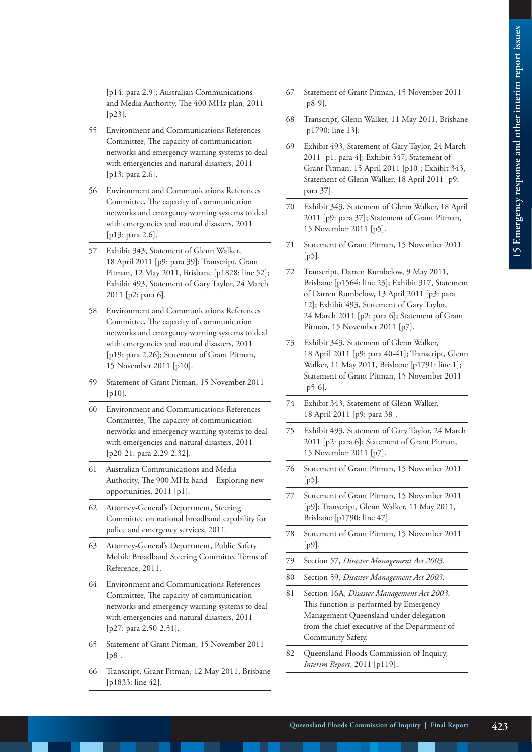[p14: para 2.9]; Australian Communications and Media Authority, The 400 MHz plan, 2011 [p23].

- 55 Environment and Communications References Committee, The capacity of communication networks and emergency warning systems to deal with emergencies and natural disasters, 2011 [p13: para 2.6].
- 56 Environment and Communications References Committee, The capacity of communication networks and emergency warning systems to deal with emergencies and natural disasters, 2011 [p13: para 2.6].
- 57 Exhibit 343, Statement of Glenn Walker, 18 April 2011 [p9: para 39]; Transcript, Grant Pitman, 12 May 2011, Brisbane [p1828: line 52]; Exhibit 493, Statement of Gary Taylor, 24 March 2011 [p2: para 6].
- 58 Environment and Communications References Committee, The capacity of communication networks and emergency warning systems to deal with emergencies and natural disasters, 2011 [p19: para 2.26]; Statement of Grant Pitman, 15 November 2011 [p10].
- 59 Statement of Grant Pitman, 15 November 2011  $[p10]$ .
- 60 Environment and Communications References Committee, The capacity of communication networks and emergency warning systems to deal with emergencies and natural disasters, 2011 [p20-21: para 2.29-2.32].
- 61 Australian Communications and Media Authority, The 900 MHz band – Exploring new opportunities, 2011 [p1].
- 62 Attorney-General's Department, Steering Committee on national broadband capability for police and emergency services, 2011.
- 63 Attorney-General's Department, Public Safety Mobile Broadband Steering Committee Terms of Reference, 2011.
- 64 Environment and Communications References Committee, The capacity of communication networks and emergency warning systems to deal with emergencies and natural disasters, 2011 [p27: para 2.50-2.51].
- 65 Statement of Grant Pitman, 15 November 2011 [p8].
- 66 Transcript, Grant Pitman, 12 May 2011, Brisbane [p1833: line 42].
- 67 Statement of Grant Pitman, 15 November 2011 [p8-9].
- 68 Transcript, Glenn Walker, 11 May 2011, Brisbane [p1790: line 13].
- 69 Exhibit 493, Statement of Gary Taylor, 24 March 2011 [p1: para 4]; Exhibit 347, Statement of Grant Pitman, 15 April 2011 [p10]; Exhibit 343, Statement of Glenn Walker, 18 April 2011 [p9: para 37].
- 70 Exhibit 343, Statement of Glenn Walker, 18 April 2011 [p9: para 37]; Statement of Grant Pitman, 15 November 2011 [p5].
- 71 Statement of Grant Pitman, 15 November 2011 [p5].
- 72 Transcript, Darren Rumbelow, 9 May 2011, Brisbane [p1564: line 23]; Exhibit 317, Statement of Darren Rumbelow, 13 April 2011 [p3: para 12]; Exhibit 493, Statement of Gary Taylor, 24 March 2011 [p2: para 6]; Statement of Grant Pitman, 15 November 2011 [p7].
- 73 Exhibit 343, Statement of Glenn Walker, 18 April 2011 [p9: para 40-41]; Transcript, Glenn Walker, 11 May 2011, Brisbane [p1791: line 1]; Statement of Grant Pitman, 15 November 2011  $[p5-6]$ .
- 74 Exhibit 343, Statement of Glenn Walker, 18 April 2011 [p9: para 38].
- 75 Exhibit 493, Statement of Gary Taylor, 24 March 2011 [p2: para 6]; Statement of Grant Pitman, 15 November 2011 [p7].
- 76 Statement of Grant Pitman, 15 November 2011 [p5].
- 77 Statement of Grant Pitman, 15 November 2011 [p9]; Transcript, Glenn Walker, 11 May 2011, Brisbane [p1790: line 47].
- 78 Statement of Grant Pitman, 15 November 2011 [p9].
- 79 Section 57, *Disaster Management Act 2003*.
- 80 Section 59, *Disaster Management Act 2003*.
- 81 Section 16A, *Disaster Management Act 2003*. This function is performed by Emergency Management Queensland under delegation from the chief executive of the Department of Community Safety.
- 82 Queensland Floods Commission of Inquiry, *Interim Report*, 2011 [p119].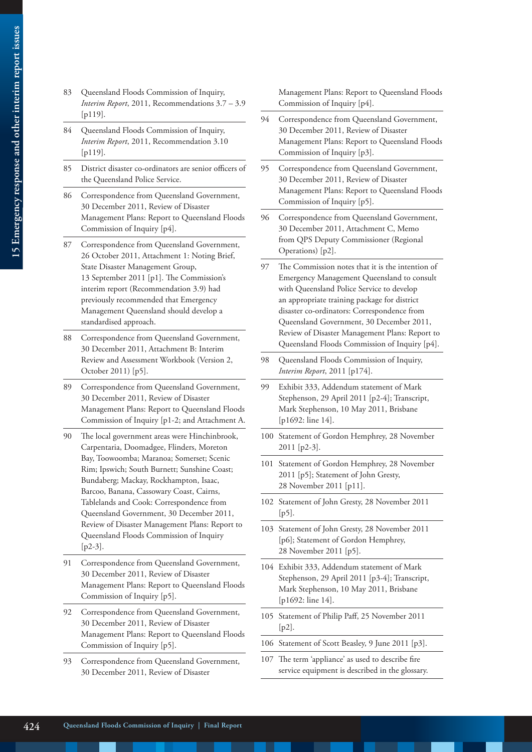- 83 Queensland Floods Commission of Inquiry, *Interim Report*, 2011, Recommendations 3.7 – 3.9 [p119].
- 84 Queensland Floods Commission of Inquiry, *Interim Report*, 2011, Recommendation 3.10 [p119].
- 85 District disaster co-ordinators are senior officers of the Queensland Police Service.
- 86 Correspondence from Queensland Government, 30 December 2011, Review of Disaster Management Plans: Report to Queensland Floods Commission of Inquiry [p4].
- 87 Correspondence from Queensland Government, 26 October 2011, Attachment 1: Noting Brief, State Disaster Management Group, 13 September 2011 [p1]. The Commission's interim report (Recommendation 3.9) had previously recommended that Emergency Management Queensland should develop a standardised approach.
- 88 Correspondence from Queensland Government, 30 December 2011, Attachment B: Interim Review and Assessment Workbook (Version 2, October 2011) [p5].
- 89 Correspondence from Queensland Government, 30 December 2011, Review of Disaster Management Plans: Report to Queensland Floods Commission of Inquiry [p1-2; and Attachment A.
- 90 The local government areas were Hinchinbrook, Carpentaria, Doomadgee, Flinders, Moreton Bay, Toowoomba; Maranoa; Somerset; Scenic Rim; Ipswich; South Burnett; Sunshine Coast; Bundaberg; Mackay, Rockhampton, Isaac, Barcoo, Banana, Cassowary Coast, Cairns, Tablelands and Cook: Correspondence from Queensland Government, 30 December 2011, Review of Disaster Management Plans: Report to Queensland Floods Commission of Inquiry [p2-3].
- 91 Correspondence from Queensland Government, 30 December 2011, Review of Disaster Management Plans: Report to Queensland Floods Commission of Inquiry [p5].
- 92 Correspondence from Queensland Government, 30 December 2011, Review of Disaster Management Plans: Report to Queensland Floods Commission of Inquiry [p5].
- 93 Correspondence from Queensland Government, 30 December 2011, Review of Disaster

Management Plans: Report to Queensland Floods Commission of Inquiry [p4].

- 94 Correspondence from Queensland Government, 30 December 2011, Review of Disaster Management Plans: Report to Queensland Floods Commission of Inquiry [p3].
- 95 Correspondence from Queensland Government, 30 December 2011, Review of Disaster Management Plans: Report to Queensland Floods Commission of Inquiry [p5].
- 96 Correspondence from Queensland Government, 30 December 2011, Attachment C, Memo from QPS Deputy Commissioner (Regional Operations) [p2].
- 97 The Commission notes that it is the intention of Emergency Management Queensland to consult with Queensland Police Service to develop an appropriate training package for district disaster co-ordinators: Correspondence from Queensland Government, 30 December 2011, Review of Disaster Management Plans: Report to Queensland Floods Commission of Inquiry [p4].
- 98 Queensland Floods Commission of Inquiry, *Interim Report*, 2011 [p174].
- 99 Exhibit 333, Addendum statement of Mark Stephenson, 29 April 2011 [p2-4]; Transcript, Mark Stephenson, 10 May 2011, Brisbane [p1692: line 14].
- 100 Statement of Gordon Hemphrey, 28 November 2011 [p2-3].
- 101 Statement of Gordon Hemphrey, 28 November 2011 [p5]; Statement of John Gresty, 28 November 2011 [p11].
- 102 Statement of John Gresty, 28 November 2011 [p5].
- 103 Statement of John Gresty, 28 November 2011 [p6]; Statement of Gordon Hemphrey, 28 November 2011 [p5].
- 104 Exhibit 333, Addendum statement of Mark Stephenson, 29 April 2011 [p3-4]; Transcript, Mark Stephenson, 10 May 2011, Brisbane [p1692: line 14].
- 105 Statement of Philip Paff, 25 November 2011 [p2].
- 106 Statement of Scott Beasley, 9 June 2011 [p3].
- 107 The term 'appliance' as used to describe fire service equipment is described in the glossary.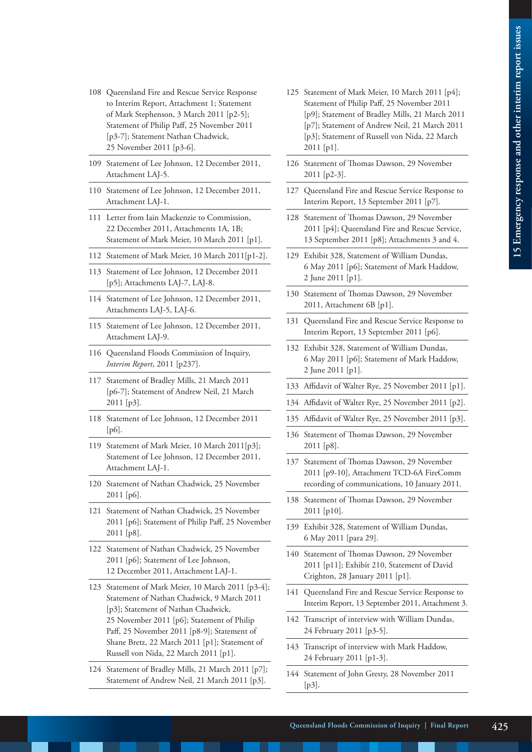- 108 Queensland Fire and Rescue Service Response to Interim Report, Attachment 1; Statement of Mark Stephenson, 3 March 2011 [p2-5]; Statement of Philip Paff, 25 November 2011 [p3-7]; Statement Nathan Chadwick, 25 November 2011 [p3-6].
- 109 Statement of Lee Johnson, 12 December 2011, Attachment LAJ-5.
- 110 Statement of Lee Johnson, 12 December 2011, Attachment LAJ-1.
- 111 Letter from Iain Mackenzie to Commission, 22 December 2011, Attachments 1A, 1B; Statement of Mark Meier, 10 March 2011 [p1].
- 112 Statement of Mark Meier, 10 March 2011[p1-2].
- 113 Statement of Lee Johnson, 12 December 2011 [p5]; Attachments LAJ-7, LAJ-8.
- 114 Statement of Lee Johnson, 12 December 2011, Attachments LAJ-5, LAJ-6.
- 115 Statement of Lee Johnson, 12 December 2011, Attachment LAJ-9.
- 116 Queensland Floods Commission of Inquiry, *Interim Report*, 2011 [p237].
- 117 Statement of Bradley Mills, 21 March 2011 [p6-7]; Statement of Andrew Neil, 21 March 2011 [p3].
- 118 Statement of Lee Johnson, 12 December 2011 [p6].
- 119 Statement of Mark Meier, 10 March 2011[p3]; Statement of Lee Johnson, 12 December 2011, Attachment LAJ-1.
- 120 Statement of Nathan Chadwick, 25 November 2011 [p6].
- 121 Statement of Nathan Chadwick, 25 November 2011 [p6]; Statement of Philip Paff, 25 November 2011 [p8].
- 122 Statement of Nathan Chadwick, 25 November 2011 [p6]; Statement of Lee Johnson, 12 December 2011, Attachment LAJ-1.
- 123 Statement of Mark Meier, 10 March 2011 [p3-4]; Statement of Nathan Chadwick, 9 March 2011 [p3]; Statement of Nathan Chadwick, 25 November 2011 [p6]; Statement of Philip Paff, 25 November 2011 [p8-9]; Statement of Shane Bretz, 22 March 2011 [p1]; Statement of Russell von Nida, 22 March 2011 [p1].
- 124 Statement of Bradley Mills, 21 March 2011 [p7]; Statement of Andrew Neil, 21 March 2011 [p3].
- 125 Statement of Mark Meier, 10 March 2011 [p4]; Statement of Philip Paff, 25 November 2011 [p9]; Statement of Bradley Mills, 21 March 2011 [p7]; Statement of Andrew Neil, 21 March 2011 [p3]; Statement of Russell von Nida, 22 March 2011 [p1].
- 126 Statement of Thomas Dawson, 29 November 2011 [p2-3].
- 127 Queensland Fire and Rescue Service Response to Interim Report, 13 September 2011 [p7].
- 128 Statement of Thomas Dawson, 29 November 2011 [p4]; Queensland Fire and Rescue Service, 13 September 2011 [p8]; Attachments 3 and 4.
- 129 Exhibit 328, Statement of William Dundas, 6 May 2011 [p6]; Statement of Mark Haddow, 2 June 2011 [p1].
- 130 Statement of Thomas Dawson, 29 November 2011, Attachment 6B [p1].
- 131 Queensland Fire and Rescue Service Response to Interim Report, 13 September 2011 [p6].
- 132 Exhibit 328, Statement of William Dundas, 6 May 2011 [p6]; Statement of Mark Haddow, 2 June 2011 [p1].
- 133 Affidavit of Walter Rye, 25 November 2011 [p1].
- 134 Affidavit of Walter Rye, 25 November 2011 [p2].
- 135 Affidavit of Walter Rye, 25 November 2011 [p3].
- 136 Statement of Thomas Dawson, 29 November 2011 [p8].
- 137 Statement of Thomas Dawson, 29 November 2011 [p9-10], Attachment TCD-6A FireComm recording of communications, 10 January 2011.
- 138 Statement of Thomas Dawson, 29 November 2011 [p10].
- 139 Exhibit 328, Statement of William Dundas, 6 May 2011 [para 29].
- 140 Statement of Thomas Dawson, 29 November 2011 [p11]; Exhibit 210, Statement of David Crighton, 28 January 2011 [p1].
- 141 Queensland Fire and Rescue Service Response to Interim Report, 13 September 2011, Attachment 3.
- 142 Transcript of interview with William Dundas, 24 February 2011 [p3-5].
- 143 Transcript of interview with Mark Haddow, 24 February 2011 [p1-3].
- 144 Statement of John Gresty, 28 November 2011 [p3].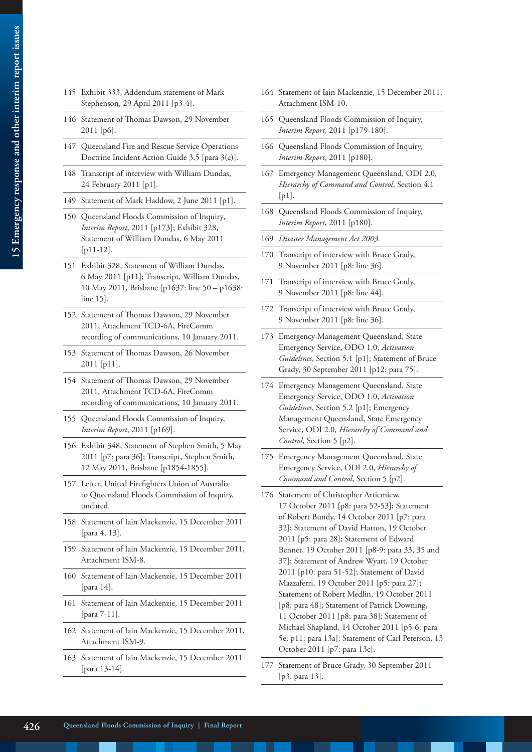- 145 Exhibit 333, Addendum statement of Mark Stephenson, 29 April 2011 [p3-4].
- 146 Statement of Thomas Dawson, 29 November 2011 [p6].
- 147 Queensland Fire and Rescue Service Operations Doctrine Incident Action Guide 3.5 [para 3(c)].
- 148 Transcript of interview with William Dundas, 24 February 2011 [p1].
- 149 Statement of Mark Haddow, 2 June 2011 [p1].
- 150 Queensland Floods Commission of Inquiry*, Interim Report*, 2011 [p173]; Exhibit 328, Statement of William Dundas, 6 May 2011 [p11-12].
- 151 Exhibit 328, Statement of William Dundas, 6 May 2011 [p11]; Transcript, William Dundas, 10 May 2011, Brisbane [p1637: line 50 – p1638: line 15].
- 152 Statement of Thomas Dawson, 29 November 2011, Attachment TCD-6A, FireComm recording of communications, 10 January 2011.
- 153 Statement of Thomas Dawson, 26 November 2011 [p11].
- 154 Statement of Thomas Dawson, 29 November 2011, Attachment TCD-6A, FireComm recording of communications, 10 January 2011.
- 155 Queensland Floods Commission of Inquiry, *Interim Report*, 2011 [p169].
- 156 Exhibit 348, Statement of Stephen Smith, 5 May 2011 [p7: para 36]; Transcript, Stephen Smith, 12 May 2011, Brisbane [p1854-1855].
- 157 Letter, United Firefighters Union of Australia to Queensland Floods Commission of Inquiry, undated.
- 158 Statement of Iain Mackenzie, 15 December 2011 [para 4, 13].
- 159 Statement of Iain Mackenzie, 15 December 2011, Attachment ISM-8.
- 160 Statement of Iain Mackenzie, 15 December 2011 [para 14].
- 161 Statement of Iain Mackenzie, 15 December 2011 [para 7-11].
- 162 Statement of Iain Mackenzie, 15 December 2011, Attachment ISM-9.
- 163 Statement of Iain Mackenzie, 15 December 2011 [para 13-14].
- 164 Statement of Iain Mackenzie, 15 December 2011, Attachment ISM-10.
- 165 Queensland Floods Commission of Inquiry, *Interim Report*, 2011 [p179-180].
- 166 Queensland Floods Commission of Inquiry, *Interim Report*, 2011 [p180].
- 167 Emergency Management Queensland, ODI 2.0*, Hierarchy of Command and Control*, Section 4.1  $[p1]$ .
- 168 Queensland Floods Commission of Inquiry, *Interim Report*, 2011 [p180].
- 169 *Disaster Management Act 2003.*
- 170 Transcript of interview with Bruce Grady, 9 November 2011 [p8: line 36].
- 171 Transcript of interview with Bruce Grady, 9 November 2011 [p8: line 44].
- 172 Transcript of interview with Bruce Grady, 9 November 2011 [p8: line 36].
- 173 Emergency Management Queensland, State Emergency Service, ODO 1.0, *Activation Guidelines*, Section 5.1 [p1]; Statement of Bruce Grady, 30 September 2011 [p12: para 75].
- 174 Emergency Management Queensland, State Emergency Service, ODO 1.0, *Activation Guidelines*, Section 5.2 [p1]; Emergency Management Queensland, State Emergency Service, ODI 2.0*, Hierarchy of Command and Control*, Section 5 [p2].
- 175 Emergency Management Queensland, State Emergency Service, ODI 2.0*, Hierarchy of Command and Control*, Section 5 [p2].
- 176 Statement of Christopher Artiemiew, 17 October 2011 [p8: para 52-53]; Statement of Robert Bundy, 14 October 2011 [p7: para 32]; Statement of David Hatton, 19 October 2011 [p5: para 28]; Statement of Edward Bennet, 19 October 2011 [p8-9: para 33, 35 and 37]; Statement of Andrew Wyatt, 19 October 2011 [p10: para 51-52]; Statement of David Mazzaferri, 19 October 2011 [p5: para 27]; Statement of Robert Medlin, 19 October 2011 [p8: para 48]; Statement of Patrick Downing, 11 October 2011 [p8: para 38]; Statement of Michael Shapland, 14 October 2011 [p5-6: para 5e; p11: para 13a]; Statement of Carl Peterson, 13 October 2011 [p7: para 13c].
- 177 Statement of Bruce Grady, 30 September 2011 [p3: para 13].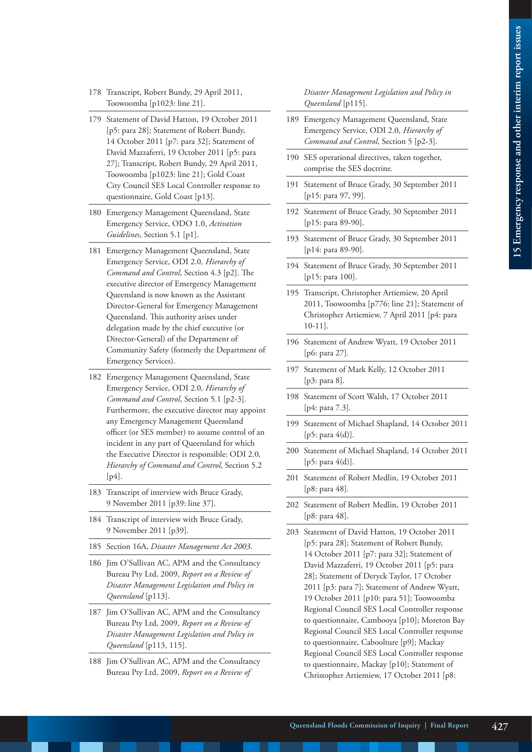- 178 Transcript, Robert Bundy, 29 April 2011, Toowoomba [p1023: line 21].
- 179 Statement of David Hatton, 19 October 2011 [p5: para 28]; Statement of Robert Bundy, 14 October 2011 [p7: para 32]; Statement of David Mazzaferri, 19 October 2011 [p5: para 27]; Transcript, Robert Bundy, 29 April 2011, Toowoomba [p1023: line 21]; Gold Coast City Council SES Local Controller response to questionnaire, Gold Coast [p13].
- 180 Emergency Management Queensland, State Emergency Service, ODO 1.0, *Activation Guidelines*, Section 5.1 [p1].
- 181 Emergency Management Queensland, State Emergency Service, ODI 2.0*, Hierarchy of Command and Control*, Section 4.3 [p2]. The executive director of Emergency Management Queensland is now known as the Assistant Director-General for Emergency Management Queensland. This authority arises under delegation made by the chief executive (or Director-General) of the Department of Community Safety (formerly the Department of Emergency Services).
- 182 Emergency Management Queensland, State Emergency Service, ODI 2.0*, Hierarchy of Command and Control*, Section 5.1 [p2-3]. Furthermore, the executive director may appoint any Emergency Management Queensland officer (or SES member) to assume control of an incident in any part of Queensland for which the Executive Director is responsible: ODI 2.0*, Hierarchy of Command and Control*, Section 5.2 [ $p4$ ].
- 183 Transcript of interview with Bruce Grady, 9 November 2011 [p39: line 37].
- 184 Transcript of interview with Bruce Grady, 9 November 2011 [p39].
- 185 Section 16A, *Disaster Management Act 2003*.
- 186 Jim O'Sullivan AC, APM and the Consultancy Bureau Pty Ltd, 2009, *Report on a Review of Disaster Management Legislation and Policy in Queensland* [p113].
- 187 Jim O'Sullivan AC, APM and the Consultancy Bureau Pty Ltd, 2009, *Report on a Review of Disaster Management Legislation and Policy in Queensland* [p113, 115].
- 188 Jim O'Sullivan AC, APM and the Consultancy Bureau Pty Ltd, 2009, *Report on a Review of*

*Disaster Management Legislation and Policy in Queensland* [p115].

- 189 Emergency Management Queensland, State Emergency Service, ODI 2.0*, Hierarchy of Command and Control*, Section 5 [p2-3].
- 190 SES operational directives, taken together, comprise the SES doctrine.
- 191 Statement of Bruce Grady, 30 September 2011 [p15: para 97, 99].
- 192 Statement of Bruce Grady, 30 September 2011 [p15: para 89-90].
- 193 Statement of Bruce Grady, 30 September 2011 [p14: para 89-90].
- 194 Statement of Bruce Grady, 30 September 2011 [p15: para 100].
- 195 Transcript, Christopher Artiemiew, 20 April 2011, Toowoomba [p776: line 21]; Statement of Christopher Artiemiew, 7 April 2011 [p4: para 10-11].
- 196 Statement of Andrew Wyatt, 19 October 2011 [p6: para 27].
- 197 Statement of Mark Kelly, 12 October 2011 [p3: para 8].
- 198 Statement of Scott Walsh, 17 October 2011 [p4: para 7.3].
- 199 Statement of Michael Shapland, 14 October 2011 [p5: para 4(d)].
- 200 Statement of Michael Shapland, 14 October 2011 [p5: para 4(d)].
- 201 Statement of Robert Medlin, 19 October 2011 [p8: para 48].
- 202 Statement of Robert Medlin, 19 October 2011 [p8: para 48].
- 203 Statement of David Hatton, 19 October 2011 [p5: para 28]; Statement of Robert Bundy, 14 October 2011 [p7: para 32]; Statement of David Mazzaferri, 19 October 2011 [p5: para 28]; Statement of Deryck Taylor, 17 October 2011 [p3: para 7]; Statement of Andrew Wyatt, 19 October 2011 [p10: para 51]; Toowoomba Regional Council SES Local Controller response to questionnaire, Cambooya [p10]; Moreton Bay Regional Council SES Local Controller response to questionnaire, Caboolture [p9]; Mackay Regional Council SES Local Controller response to questionnaire, Mackay [p10]; Statement of Christopher Artiemiew, 17 October 2011 [p8: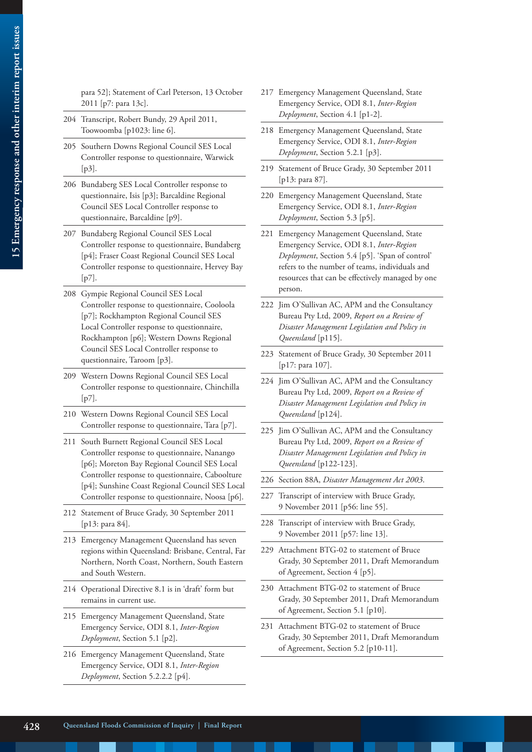|     | para 52]; Statement of Carl Peterson, 13 October<br>2011 [p7: para 13c].                                                                                                                                                                                                                              | 217   | Eme.<br>Eme.                                                  |
|-----|-------------------------------------------------------------------------------------------------------------------------------------------------------------------------------------------------------------------------------------------------------------------------------------------------------|-------|---------------------------------------------------------------|
|     | 204 Transcript, Robert Bundy, 29 April 2011,<br>Toowoomba [p1023: line 6].                                                                                                                                                                                                                            | 218   | Depl<br>Eme.                                                  |
| 205 | Southern Downs Regional Council SES Local<br>Controller response to questionnaire, Warwick                                                                                                                                                                                                            |       | Eme.<br>Depl                                                  |
|     | $[p3]$ .<br>206 Bundaberg SES Local Controller response to                                                                                                                                                                                                                                            | 219   | State<br>[p13]                                                |
|     | questionnaire, Isis [p3]; Barcaldine Regional<br>Council SES Local Controller response to<br>questionnaire, Barcaldine [p9].                                                                                                                                                                          | 220   | Eme.<br>Eme<br>Depl                                           |
| 207 | Bundaberg Regional Council SES Local<br>Controller response to questionnaire, Bundaberg<br>[p4]; Fraser Coast Regional Council SES Local<br>Controller response to questionnaire, Hervey Bay<br>$[p7]$ .                                                                                              | 221   | Eme<br>Eme.<br>Depl<br>refer:<br>resou                        |
| 208 | Gympie Regional Council SES Local<br>Controller response to questionnaire, Cooloola<br>[p7]; Rockhampton Regional Council SES<br>Local Controller response to questionnaire,<br>Rockhampton [p6]; Western Downs Regional<br>Council SES Local Controller response to<br>questionnaire, Taroom [p3].   | 223   | perso<br>222 Jim 0<br>Bure<br>Disa.<br>Quee<br>State<br>[p17] |
|     | 209 Western Downs Regional Council SES Local<br>Controller response to questionnaire, Chinchilla<br>$[p7]$ .                                                                                                                                                                                          |       | 224 Jim 0<br>Bure<br>Disa.                                    |
|     | 210 Western Downs Regional Council SES Local<br>Controller response to questionnaire, Tara [p7].                                                                                                                                                                                                      | 225   | Quee<br>Jim (                                                 |
| 211 | South Burnett Regional Council SES Local<br>Controller response to questionnaire, Nanango<br>[p6]; Moreton Bay Regional Council SES Local<br>Controller response to questionnaire, Caboolture<br>[p4]; Sunshine Coast Regional Council SES Local<br>Controller response to questionnaire, Noosa [p6]. |       | Bure<br>Disa.<br>Quee                                         |
|     |                                                                                                                                                                                                                                                                                                       | 226   | Secti                                                         |
|     |                                                                                                                                                                                                                                                                                                       | 227 - | Tran<br>9 Nc                                                  |
| 212 | Statement of Bruce Grady, 30 September 2011<br>[p13: para 84].<br>213 Emergency Management Queensland has seven                                                                                                                                                                                       | 228   | Tran<br>9 Nc                                                  |
|     | regions within Queensland: Brisbane, Central, Far<br>Northern, North Coast, Northern, South Eastern<br>and South Western.                                                                                                                                                                             | 229   | Attac<br>Grad<br>of Aş                                        |
|     | 214 Operational Directive 8.1 is in 'draft' form but<br>remains in current use.                                                                                                                                                                                                                       | 230   | Attac<br>Grad                                                 |
|     | 215 Emergency Management Queensland, State<br>Emergency Service, ODI 8.1, Inter-Region<br>Deployment, Section 5.1 [p2].                                                                                                                                                                               | 231   | of Aş<br>Attac<br>Grad                                        |
|     | 216 Emergency Management Queensland, State<br>Emergency Service, ODI 8.1, Inter-Region<br>Deployment, Section 5.2.2.2 [p4].                                                                                                                                                                           |       | of Ag                                                         |

- rgency Management Queensland, State Emergency Service, ODI 8.1, *Inter-Region Deployment*, Section 4.1 [p1-2].
- rgency Management Queensland, State Emergency Service, ODI 8.1, *Inter-Region Deployment*, Section 5.2.1 [p3].
- ement of Bruce Grady, 30 September 2011 : para 87].
- rgency Management Queensland, State Emergency Service, ODI 8.1, *Inter-Region Deployment*, Section 5.3 [p5].
- rgency Management Queensland, State Emergency Service, ODI 8.1, *Inter-Region Deployment*, Section 5.4 [p5]. 'Span of control' s to the number of teams, individuals and arces that can be effectively managed by one pn.
- O'Sullivan AC, APM and the Consultancy au Pty Ltd, 2009, *Report on a Review of Disaster Management Legislation and Policy in*  ensland [p115].
- ement of Bruce Grady, 30 September 2011  $[$ : para  $107]$ .
- O'Sullivan AC, APM and the Consultancy Bureau Pty Ltd, 2009, *Report on a Review of Disaster Management Legislation and Policy in Queensland* [p124].
- O'Sullivan AC, APM and the Consultancy au Pty Ltd, 2009, *Report on a Review of Disaster Management Legislation and Policy in Queensland* [p122-123].
- 226 Section 88A, *Disaster Management Act 2003*.
- script of interview with Bruce Grady, ovember 2011 [p56: line 55].
- script of interview with Bruce Grady, ovember 2011 [p57: line 13].
- chment BTG-02 to statement of Bruce ly, 30 September 2011, Draft Memorandum greement, Section  $4$  [p5].
- chment BTG-02 to statement of Bruce ly, 30 September 2011, Draft Memorandum greement, Section 5.1 [p10].
- chment BTG-02 to statement of Bruce ly, 30 September 2011, Draft Memorandum greement, Section  $5.2$  [p10-11].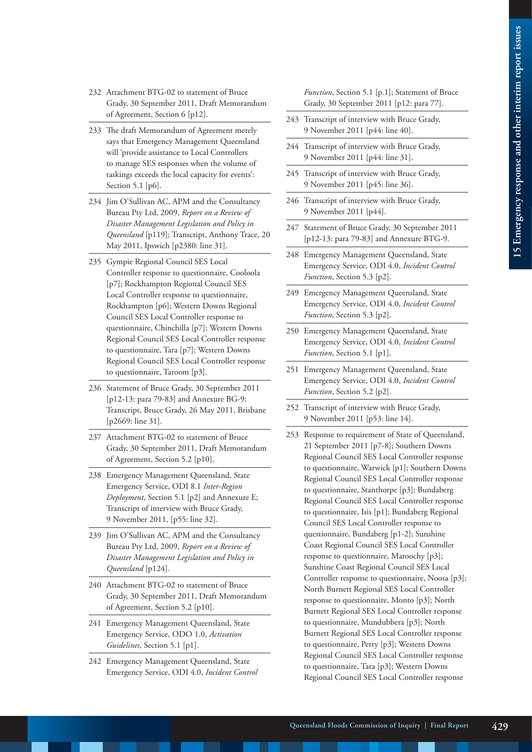- 232 Attachment BTG-02 to statement of Bruce Grady, 30 September 2011, Draft Memorandum of Agreement, Section 6 [p12].
- 233 The draft Memorandum of Agreement merely says that Emergency Management Queensland will 'provide assistance to Local Controllers to manage SES responses when the volume of taskings exceeds the local capacity for events': Section 5.1 [p6].
- 234 Jim O'Sullivan AC, APM and the Consultancy Bureau Pty Ltd, 2009, *Report on a Review of Disaster Management Legislation and Policy in Queensland* [p119]; Transcript, Anthony Trace, 20 May 2011, Ipswich [p2380: line 31].
- 235 Gympie Regional Council SES Local Controller response to questionnaire, Cooloola [p7]; Rockhampton Regional Council SES Local Controller response to questionnaire, Rockhampton [p6]; Western Downs Regional Council SES Local Controller response to questionnaire, Chinchilla [p7]; Western Downs Regional Council SES Local Controller response to questionnaire, Tara [p7]; Western Downs Regional Council SES Local Controller response to questionnaire, Taroom [p3].
- 236 Statement of Bruce Grady, 30 September 2011 [p12-13: para 79-83] and Annexure BG-9; Transcript, Bruce Grady, 26 May 2011, Brisbane [p2669: line 31].
- 237 Attachment BTG-02 to statement of Bruce Grady, 30 September 2011, Draft Memorandum of Agreement, Section 5.2 [p10].
- 238 Emergency Management Queensland, State Emergency Service, ODI 8.1 *Inter-Region Deployment*, Section 5.1 [p2] and Annexure E; Transcript of interview with Bruce Grady, 9 November 2011, [p55: line 32].
- 239 Jim O'Sullivan AC, APM and the Consultancy Bureau Pty Ltd, 2009, *Report on a Review of Disaster Management Legislation and Policy in Queensland* [p124].
- 240 Attachment BTG-02 to statement of Bruce Grady, 30 September 2011, Draft Memorandum of Agreement, Section 5.2 [p10].
- 241 Emergency Management Queensland, State Emergency Service, ODO 1.0, *Activation Guidelines*, Section 5.1 [p1].
- 242 Emergency Management Queensland, State Emergency Service, ODI 4.0, *Incident Control*

*Function*, Section 5.1 [p.1]; Statement of Bruce Grady, 30 September 2011 [p12: para 77].

- 243 Transcript of interview with Bruce Grady, 9 November 2011 [p44: line 40].
- 244 Transcript of interview with Bruce Grady, 9 November 2011 [p44: line 31].
- 245 Transcript of interview with Bruce Grady, 9 November 2011 [p45: line 36].
- 246 Transcript of interview with Bruce Grady, 9 November 2011 [p44].
- 247 Statement of Bruce Grady, 30 September 2011 [p12-13: para 79-83] and Annexure BTG-9.
- 248 Emergency Management Queensland, State Emergency Service, ODI 4.0, *Incident Control Function*, Section 5.3 [p2].
- 249 Emergency Management Queensland, State Emergency Service, ODI 4.0, *Incident Control Function*, Section 5.3 [p2].
- 250 Emergency Management Queensland, State Emergency Service, ODI 4.0, *Incident Control Function*, Section 5.1 [p1].
- 251 Emergency Management Queensland, State Emergency Service, ODI 4.0, *Incident Control Function*, Section 5.2 [p2].
- 252 Transcript of interview with Bruce Grady, 9 November 2011 [p53: line 14].
- 253 Response to requirement of State of Queensland, 21 September 2011 [p7-8]; Southern Downs Regional Council SES Local Controller response to questionnaire, Warwick [p1]; Southern Downs Regional Council SES Local Controller response to questionnaire, Stanthorpe [p3]; Bundaberg Regional Council SES Local Controller response to questionnaire, Isis [p1]; Bundaberg Regional Council SES Local Controller response to questionnaire, Bundaberg [p1-2]; Sunshine Coast Regional Council SES Local Controller response to questionnaire, Maroochy [p3]; Sunshine Coast Regional Council SES Local Controller response to questionnaire, Noosa [p3]; North Burnett Regional SES Local Controller response to questionnaire, Monto [p3]; North Burnett Regional SES Local Controller response to questionnaire, Mundubbera [p3]; North Burnett Regional SES Local Controller response to questionnaire, Perry [p3]; Western Downs Regional Council SES Local Controller response to questionnaire, Tara [p3]; Western Downs Regional Council SES Local Controller response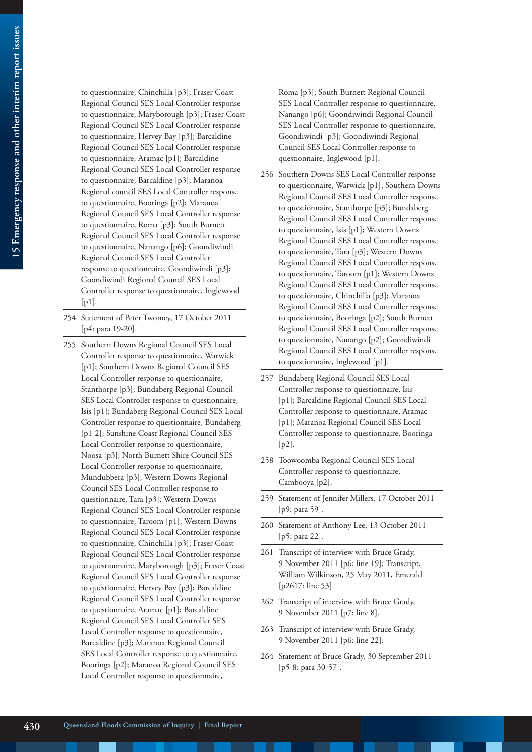to questionnaire, Chinchilla [p3]; Fraser Coast Regional Council SES Local Controller response to questionnaire, Maryborough [p3]; Fraser Coast Regional Council SES Local Controller response to questionnaire, Hervey Bay [p3]; Barcaldine Regional Council SES Local Controller response to questionnaire, Aramac [p1]; Barcaldine Regional Council SES Local Controller response to questionnaire, Barcaldine [p3]; Maranoa Regional council SES Local Controller response to questionnaire, Booringa [p2]; Maranoa Regional Council SES Local Controller response to questionnaire, Roma [p3]; South Burnett Regional Council SES Local Controller response to questionnaire, Nanango [p6]; Goondiwindi Regional Council SES Local Controller response to questionnaire, Goondiwindi [p3]; Goondiwindi Regional Council SES Local Controller response to questionnaire, Inglewood [p1].

- 254 Statement of Peter Twomey, 17 October 2011 [p4: para 19-20].
- 255 Southern Downs Regional Council SES Local Controller response to questionnaire, Warwick [p1]; Southern Downs Regional Council SES Local Controller response to questionnaire, Stanthorpe [p3]; Bundaberg Regional Council SES Local Controller response to questionnaire, Isis [p1]; Bundaberg Regional Council SES Local Controller response to questionnaire, Bundaberg [p1-2]; Sunshine Coast Regional Council SES Local Controller response to questionnaire, Noosa [p3]; North Burnett Shire Council SES Local Controller response to questionnaire, Mundubbera [p3]; Western Downs Regional Council SES Local Controller response to questionnaire, Tara [p3]; Western Downs Regional Council SES Local Controller response to questionnaire, Taroom [p1]; Western Downs Regional Council SES Local Controller response to questionnaire, Chinchilla [p3]; Fraser Coast Regional Council SES Local Controller response to questionnaire, Maryborough [p3]; Fraser Coast Regional Council SES Local Controller response to questionnaire, Hervey Bay [p3]; Barcaldine Regional Council SES Local Controller response to questionnaire, Aramac [p1]; Barcaldine Regional Council SES Local Controller SES Local Controller response to questionnaire, Barcaldine [p3]; Maranoa Regional Council SES Local Controller response to questionnaire, Booringa [p2]; Maranoa Regional Council SES Local Controller response to questionnaire,

Roma [p3]; South Burnett Regional Council SES Local Controller response to questionnaire, Nanango [p6]; Goondiwindi Regional Council SES Local Controller response to questionnaire, Goondiwindi [p3]; Goondiwindi Regional Council SES Local Controller response to questionnaire, Inglewood [p1].

- 256 Southern Downs SES Local Controller response to questionnaire, Warwick [p1]; Southern Downs Regional Council SES Local Controller response to questionnaire, Stanthorpe [p3]; Bundaberg Regional Council SES Local Controller response to questionnaire, Isis [p1]; Western Downs Regional Council SES Local Controller response to questionnaire, Tara [p3]; Western Downs Regional Council SES Local Controller response to questionnaire, Taroom [p1]; Western Downs Regional Council SES Local Controller response to questionnaire, Chinchilla [p3]; Maranoa Regional Council SES Local Controller response to questionnaire, Booringa [p2]; South Burnett Regional Council SES Local Controller response to questionnaire, Nanango [p2]; Goondiwindi Regional Council SES Local Controller response to questionnaire, Inglewood [p1].
- 257 Bundaberg Regional Council SES Local Controller response to questionnaire, Isis [p1]; Barcaldine Regional Council SES Local Controller response to questionnaire, Aramac [p1]; Maranoa Regional Council SES Local Controller response to questionnaire, Booringa [p2].
- 258 Toowoomba Regional Council SES Local Controller response to questionnaire, Cambooya [p2].
- 259 Statement of Jennifer Millers, 17 October 2011 [p9: para 59].
- 260 Statement of Anthony Lee, 13 October 2011 [p5: para 22].
- 261 Transcript of interview with Bruce Grady, 9 November 2011 [p6: line 19]; Transcript, William Wilkinson, 25 May 2011, Emerald [p2617: line 53].
- 262 Transcript of interview with Bruce Grady, 9 November 2011 [p7: line 8].
- 263 Transcript of interview with Bruce Grady, 9 November 2011 [p6: line 22].
- 264 Statement of Bruce Grady, 30 September 2011 [p5-8: para 30-57].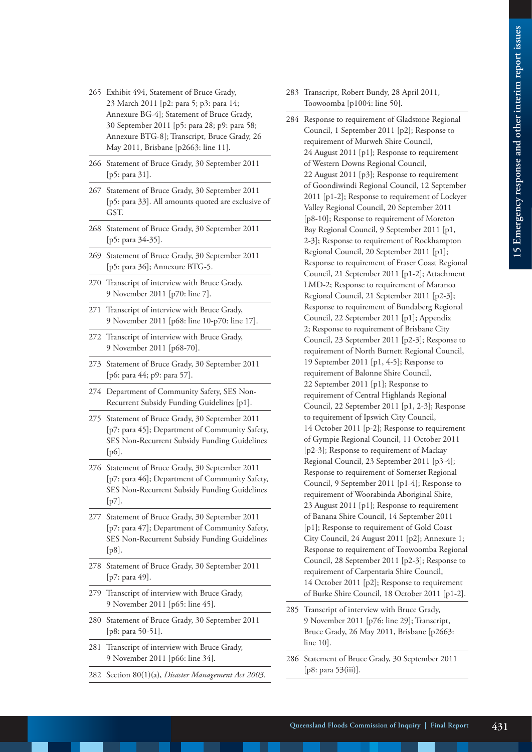- 265 Exhibit 494, Statement of Bruce Grady, 23 March 2011 [p2: para 5; p3: para 14; Annexure BG-4]; Statement of Bruce Grady, 30 September 2011 [p5: para 28; p9: para 58; Annexure BTG-8]; Transcript, Bruce Grady, 26 May 2011, Brisbane [p2663: line 11].
- 266 Statement of Bruce Grady, 30 September 2011 [p5: para 31].
- 267 Statement of Bruce Grady, 30 September 2011 [p5: para 33]. All amounts quoted are exclusive of GST.
- 268 Statement of Bruce Grady, 30 September 2011 [p5: para 34-35].
- 269 Statement of Bruce Grady, 30 September 2011 [p5: para 36]; Annexure BTG-5.
- 270 Transcript of interview with Bruce Grady, 9 November 2011 [p70: line 7].
- 271 Transcript of interview with Bruce Grady, 9 November 2011 [p68: line 10-p70: line 17].
- 272 Transcript of interview with Bruce Grady, 9 November 2011 [p68-70].
- 273 Statement of Bruce Grady, 30 September 2011 [p6: para 44; p9: para 57].
- 274 Department of Community Safety, SES Non-Recurrent Subsidy Funding Guidelines [p1].
- 275 Statement of Bruce Grady, 30 September 2011 [p7: para 45]; Department of Community Safety, SES Non-Recurrent Subsidy Funding Guidelines [p6].
- 276 Statement of Bruce Grady, 30 September 2011 [p7: para 46]; Department of Community Safety, SES Non-Recurrent Subsidy Funding Guidelines [p7].
- 277 Statement of Bruce Grady, 30 September 2011 [p7: para 47]; Department of Community Safety, SES Non-Recurrent Subsidy Funding Guidelines [p8].
- 278 Statement of Bruce Grady, 30 September 2011 [p7: para 49].
- 279 Transcript of interview with Bruce Grady, 9 November 2011 [p65: line 45].
- 280 Statement of Bruce Grady, 30 September 2011 [p8: para 50-51].
- 281 Transcript of interview with Bruce Grady, 9 November 2011 [p66: line 34].
- 282 Section 80(1)(a), *Disaster Management Act 2003*.
- 283 Transcript, Robert Bundy, 28 April 2011, Toowoomba [p1004: line 50].
- 284 Response to requirement of Gladstone Regional Council, 1 September 2011 [p2]; Response to requirement of Murweh Shire Council, 24 August 2011 [p1]; Response to requirement of Western Downs Regional Council, 22 August 2011 [p3]; Response to requirement of Goondiwindi Regional Council, 12 September 2011 [p1-2]; Response to requirement of Lockyer Valley Regional Council, 20 September 2011 [p8-10]; Response to requirement of Moreton Bay Regional Council, 9 September 2011 [p1, 2-3]; Response to requirement of Rockhampton Regional Council, 20 September 2011 [p1]; Response to requirement of Fraser Coast Regional Council, 21 September 2011 [p1-2]; Attachment LMD-2; Response to requirement of Maranoa Regional Council, 21 September 2011 [p2-3]; Response to requirement of Bundaberg Regional Council, 22 September 2011 [p1]; Appendix 2; Response to requirement of Brisbane City Council, 23 September 2011 [p2-3]; Response to requirement of North Burnett Regional Council, 19 September 2011 [p1, 4-5]; Response to requirement of Balonne Shire Council, 22 September 2011 [p1]; Response to requirement of Central Highlands Regional Council, 22 September 2011 [p1, 2-3]; Response to requirement of Ipswich City Council, 14 October 2011 [p-2]; Response to requirement of Gympie Regional Council, 11 October 2011 [p2-3]; Response to requirement of Mackay Regional Council, 23 September 2011 [p3-4]; Response to requirement of Somerset Regional Council, 9 September 2011 [p1-4]; Response to requirement of Woorabinda Aboriginal Shire, 23 August 2011 [p1]; Response to requirement of Banana Shire Council, 14 September 2011 [p1]; Response to requirement of Gold Coast City Council, 24 August 2011 [p2]; Annexure 1; Response to requirement of Toowoomba Regional Council, 28 September 2011 [p2-3]; Response to requirement of Carpentaria Shire Council, 14 October 2011 [p2]; Response to requirement of Burke Shire Council, 18 October 2011 [p1-2].
- 285 Transcript of interview with Bruce Grady, 9 November 2011 [p76: line 29]; Transcript, Bruce Grady, 26 May 2011, Brisbane [p2663: line 10].
- 286 Statement of Bruce Grady, 30 September 2011 [p8: para 53(iii)].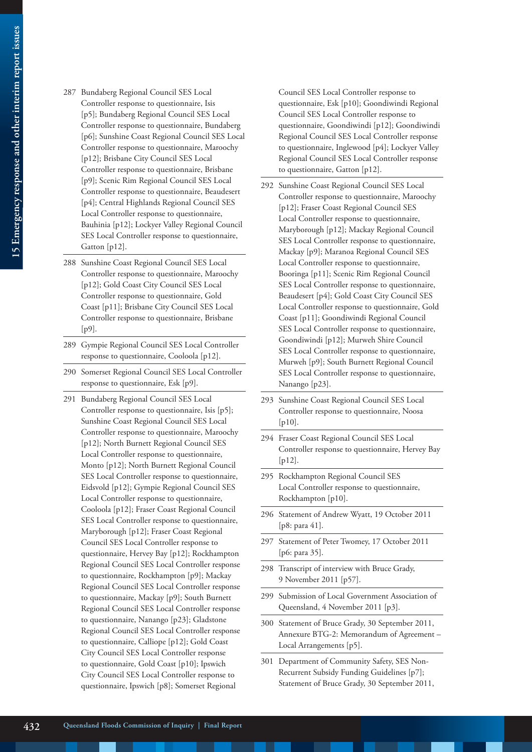- 287 Bundaberg Regional Council SES Local Controller response to questionnaire, Isis [p5]; Bundaberg Regional Council SES Local Controller response to questionnaire, Bundaberg [p6]; Sunshine Coast Regional Council SES Local Controller response to questionnaire, Maroochy [p12]; Brisbane City Council SES Local Controller response to questionnaire, Brisbane [p9]; Scenic Rim Regional Council SES Local Controller response to questionnaire, Beaudesert [p4]; Central Highlands Regional Council SES Local Controller response to questionnaire, Bauhinia [p12]; Lockyer Valley Regional Council SES Local Controller response to questionnaire, Gatton [p12].
- 288 Sunshine Coast Regional Council SES Local Controller response to questionnaire, Maroochy [p12]; Gold Coast City Council SES Local Controller response to questionnaire, Gold Coast [p11]; Brisbane City Council SES Local Controller response to questionnaire, Brisbane [p9].
- 289 Gympie Regional Council SES Local Controller response to questionnaire, Cooloola [p12].
- 290 Somerset Regional Council SES Local Controller response to questionnaire, Esk [p9].
- 291 Bundaberg Regional Council SES Local Controller response to questionnaire, Isis [p5]; Sunshine Coast Regional Council SES Local Controller response to questionnaire, Maroochy [p12]; North Burnett Regional Council SES Local Controller response to questionnaire, Monto [p12]; North Burnett Regional Council SES Local Controller response to questionnaire, Eidsvold [p12]; Gympie Regional Council SES Local Controller response to questionnaire, Cooloola [p12]; Fraser Coast Regional Council SES Local Controller response to questionnaire, Maryborough [p12]; Fraser Coast Regional Council SES Local Controller response to questionnaire, Hervey Bay [p12]; Rockhampton Regional Council SES Local Controller response to questionnaire, Rockhampton [p9]; Mackay Regional Council SES Local Controller response to questionnaire, Mackay [p9]; South Burnett Regional Council SES Local Controller response to questionnaire, Nanango [p23]; Gladstone Regional Council SES Local Controller response to questionnaire, Calliope [p12]; Gold Coast City Council SES Local Controller response to questionnaire, Gold Coast [p10]; Ipswich City Council SES Local Controller response to questionnaire, Ipswich [p8]; Somerset Regional

Council SES Local Controller response to questionnaire, Esk [p10]; Goondiwindi Regional Council SES Local Controller response to questionnaire, Goondiwindi [p12]; Goondiwindi Regional Council SES Local Controller response to questionnaire, Inglewood [p4]; Lockyer Valley Regional Council SES Local Controller response to questionnaire, Gatton [p12].

- 292 Sunshine Coast Regional Council SES Local Controller response to questionnaire, Maroochy [p12]; Fraser Coast Regional Council SES Local Controller response to questionnaire, Maryborough [p12]; Mackay Regional Council SES Local Controller response to questionnaire, Mackay [p9]; Maranoa Regional Council SES Local Controller response to questionnaire, Booringa [p11]; Scenic Rim Regional Council SES Local Controller response to questionnaire, Beaudesert [p4]; Gold Coast City Council SES Local Controller response to questionnaire, Gold Coast [p11]; Goondiwindi Regional Council SES Local Controller response to questionnaire, Goondiwindi [p12]; Murweh Shire Council SES Local Controller response to questionnaire, Murweh [p9]; South Burnett Regional Council SES Local Controller response to questionnaire, Nanango [p23].
- 293 Sunshine Coast Regional Council SES Local Controller response to questionnaire, Noosa [ $p10$ ].
- 294 Fraser Coast Regional Council SES Local Controller response to questionnaire, Hervey Bay [p12].
- 295 Rockhampton Regional Council SES Local Controller response to questionnaire, Rockhampton [p10].
- 296 Statement of Andrew Wyatt, 19 October 2011 [p8: para 41].
- 297 Statement of Peter Twomey, 17 October 2011 [p6: para 35].
- 298 Transcript of interview with Bruce Grady, 9 November 2011 [p57].
- 299 Submission of Local Government Association of Queensland, 4 November 2011 [p3].
- 300 Statement of Bruce Grady, 30 September 2011, Annexure BTG-2: Memorandum of Agreement – Local Arrangements [p5].
- 301 Department of Community Safety, SES Non-Recurrent Subsidy Funding Guidelines [p7]; Statement of Bruce Grady, 30 September 2011,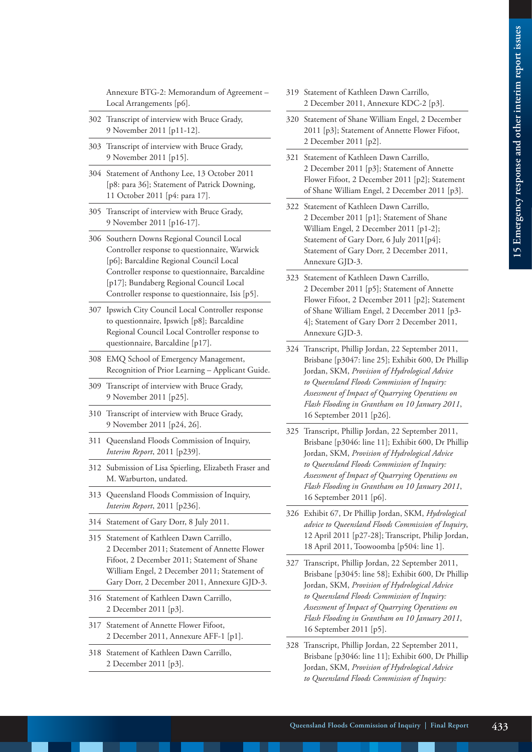Annexure BTG-2: Memorandum of Agreement – Local Arrangements [p6].

- 302 Transcript of interview with Bruce Grady, 9 November 2011 [p11-12].
- 303 Transcript of interview with Bruce Grady, 9 November 2011 [p15].
- 304 Statement of Anthony Lee, 13 October 2011 [p8: para 36]; Statement of Patrick Downing, 11 October 2011 [p4: para 17].
- 305 Transcript of interview with Bruce Grady, 9 November 2011 [p16-17].
- 306 Southern Downs Regional Council Local Controller response to questionnaire, Warwick [p6]; Barcaldine Regional Council Local Controller response to questionnaire, Barcaldine [p17]; Bundaberg Regional Council Local Controller response to questionnaire, Isis [p5].
- 307 Ipswich City Council Local Controller response to questionnaire, Ipswich [p8]; Barcaldine Regional Council Local Controller response to questionnaire, Barcaldine [p17].
- 308 EMQ School of Emergency Management, Recognition of Prior Learning – Applicant Guide.
- 309 Transcript of interview with Bruce Grady, 9 November 2011 [p25].
- 310 Transcript of interview with Bruce Grady, 9 November 2011 [p24, 26].
- 311 Queensland Floods Commission of Inquiry, *Interim Report*, 2011 [p239].
- 312 Submission of Lisa Spierling, Elizabeth Fraser and M. Warburton, undated.
- 313 Queensland Floods Commission of Inquiry, *Interim Report*, 2011 [p236].
- 314 Statement of Gary Dorr, 8 July 2011.
- 315 Statement of Kathleen Dawn Carrillo, 2 December 2011; Statement of Annette Flower Fifoot, 2 December 2011; Statement of Shane William Engel, 2 December 2011; Statement of Gary Dorr, 2 December 2011, Annexure GJD-3.
- 316 Statement of Kathleen Dawn Carrillo, 2 December 2011 [p3].
- 317 Statement of Annette Flower Fifoot, 2 December 2011, Annexure AFF-1 [p1].
- 318 Statement of Kathleen Dawn Carrillo, 2 December 2011 [p3].
- 319 Statement of Kathleen Dawn Carrillo, 2 December 2011, Annexure KDC-2 [p3].
- 320 Statement of Shane William Engel, 2 December 2011 [p3]; Statement of Annette Flower Fifoot, 2 December 2011 [p2].
- 321 Statement of Kathleen Dawn Carrillo, 2 December 2011 [p3]; Statement of Annette Flower Fifoot, 2 December 2011 [p2]; Statement of Shane William Engel, 2 December 2011 [p3].
- 322 Statement of Kathleen Dawn Carrillo, 2 December 2011 [p1]; Statement of Shane William Engel, 2 December 2011 [p1-2]; Statement of Gary Dorr, 6 July 2011[p4]; Statement of Gary Dorr, 2 December 2011, Annexure GJD-3.
- 323 Statement of Kathleen Dawn Carrillo, 2 December 2011 [p5]; Statement of Annette Flower Fifoot, 2 December 2011 [p2]; Statement of Shane William Engel, 2 December 2011 [p3- 4]; Statement of Gary Dorr 2 December 2011, Annexure GJD-3.
- 324 Transcript, Phillip Jordan, 22 September 2011, Brisbane [p3047: line 25]; Exhibit 600, Dr Phillip Jordan, SKM, *Provision of Hydrological Advice to Queensland Floods Commission of Inquiry: Assessment of Impact of Quarrying Operations on Flash Flooding in Grantham on 10 January 2011*, 16 September 2011 [p26].
- 325 Transcript, Phillip Jordan, 22 September 2011, Brisbane [p3046: line 11]; Exhibit 600, Dr Phillip Jordan, SKM, *Provision of Hydrological Advice to Queensland Floods Commission of Inquiry: Assessment of Impact of Quarrying Operations on Flash Flooding in Grantham on 10 January 2011*, 16 September 2011 [p6].
- 326 Exhibit 67, Dr Phillip Jordan, SKM, *Hydrological advice to Queensland Floods Commission of Inquiry*, 12 April 2011 [p27-28]; Transcript, Philip Jordan, 18 April 2011, Toowoomba [p504: line 1].
- 327 Transcript, Phillip Jordan, 22 September 2011, Brisbane [p3045: line 58]; Exhibit 600, Dr Phillip Jordan, SKM, *Provision of Hydrological Advice to Queensland Floods Commission of Inquiry: Assessment of Impact of Quarrying Operations on Flash Flooding in Grantham on 10 January 2011*, 16 September 2011 [p5].
- 328 Transcript, Phillip Jordan, 22 September 2011, Brisbane [p3046: line 11]; Exhibit 600, Dr Phillip Jordan, SKM, *Provision of Hydrological Advice to Queensland Floods Commission of Inquiry:*